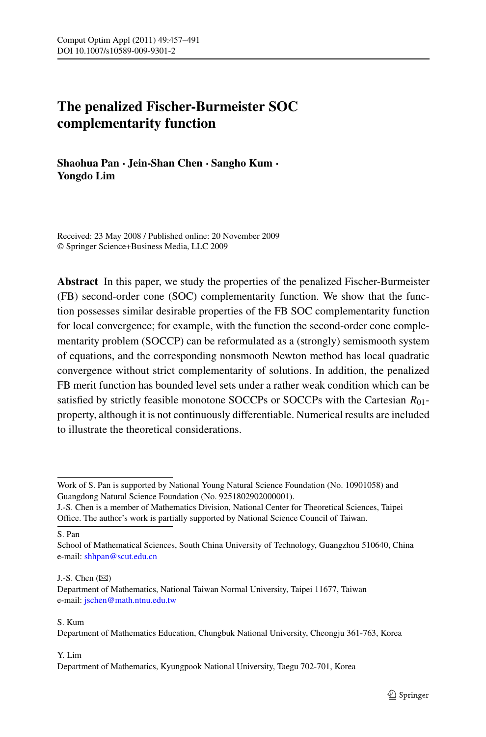# **The penalized Fischer-Burmeister SOC complementarity function**

**Shaohua Pan · Jein-Shan Chen · Sangho Kum · Yongdo Lim**

Received: 23 May 2008 / Published online: 20 November 2009 © Springer Science+Business Media, LLC 2009

**Abstract** In this paper, we study the properties of the penalized Fischer-Burmeister (FB) second-order cone (SOC) complementarity function. We show that the function possesses similar desirable properties of the FB SOC complementarity function for local convergence; for example, with the function the second-order cone complementarity problem (SOCCP) can be reformulated as a (strongly) semismooth system of equations, and the corresponding nonsmooth Newton method has local quadratic convergence without strict complementarity of solutions. In addition, the penalized FB merit function has bounded level sets under a rather weak condition which can be satisfied by strictly feasible monotone SOCCPs or SOCCPs with the Cartesian *R*01 property, although it is not continuously differentiable. Numerical results are included to illustrate the theoretical considerations.

S. Pan

J.-S. Chen  $(\boxtimes)$ 

S. Kum

#### Y. Lim

Work of S. Pan is supported by National Young Natural Science Foundation (No. 10901058) and Guangdong Natural Science Foundation (No. 9251802902000001).

J.-S. Chen is a member of Mathematics Division, National Center for Theoretical Sciences, Taipei Office. The author's work is partially supported by National Science Council of Taiwan.

School of Mathematical Sciences, South China University of Technology, Guangzhou 510640, China e-mail: [shhpan@scut.edu.cn](mailto:shhpan@scut.edu.cn)

Department of Mathematics, National Taiwan Normal University, Taipei 11677, Taiwan e-mail: [jschen@math.ntnu.edu.tw](mailto:jschen@math.ntnu.edu.tw)

Department of Mathematics Education, Chungbuk National University, Cheongju 361-763, Korea

Department of Mathematics, Kyungpook National University, Taegu 702-701, Korea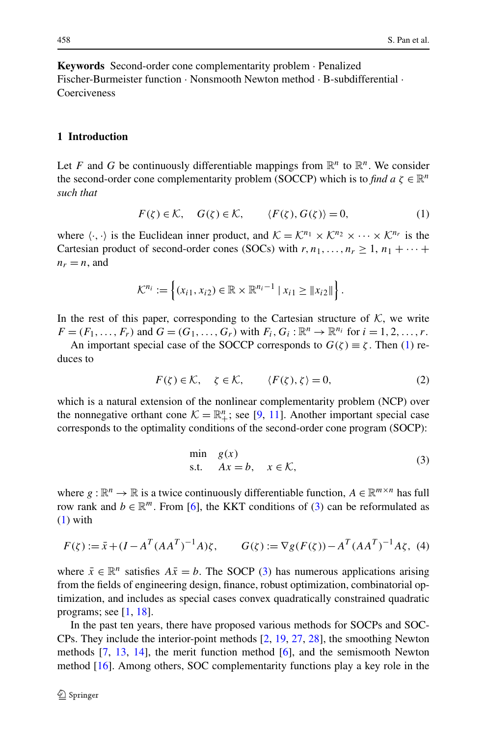**Keywords** Second-order cone complementarity problem · Penalized Fischer-Burmeister function · Nonsmooth Newton method · B-subdifferential · Coerciveness

#### **1 Introduction**

Let *F* and *G* be continuously differentiable mappings from  $\mathbb{R}^n$  to  $\mathbb{R}^n$ . We consider the second-order cone complementarity problem (SOCCP) which is to *find a*  $\zeta \in \mathbb{R}^n$ *such that*

<span id="page-1-0"></span>
$$
F(\zeta) \in \mathcal{K}, \quad G(\zeta) \in \mathcal{K}, \qquad \langle F(\zeta), G(\zeta) \rangle = 0, \tag{1}
$$

where  $\langle \cdot, \cdot \rangle$  is the Euclidean inner product, and  $\mathcal{K} = \mathcal{K}^{n_1} \times \mathcal{K}^{n_2} \times \cdots \times \mathcal{K}^{n_r}$  is the Cartesian product of second-order cones (SOCs) with  $r, n_1, \ldots, n_r \geq 1, n_1 + \cdots$  $n_r = n$ , and

<span id="page-1-2"></span>
$$
\mathcal{K}^{n_i} := \left\{ (x_{i1}, x_{i2}) \in \mathbb{R} \times \mathbb{R}^{n_i - 1} \mid x_{i1} \geq ||x_{i2}|| \right\}.
$$

In the rest of this paper, corresponding to the Cartesian structure of  $K$ , we write  $F = (F_1, ..., F_r)$  and  $G = (G_1, ..., G_r)$  with  $F_i, G_i : \mathbb{R}^n \to \mathbb{R}^{n_i}$  for  $i = 1, 2, ..., r$ .

An important special case of the SOCCP corresponds to  $G(\zeta) \equiv \zeta$ . Then [\(1](#page-1-0)) reduces to

$$
F(\zeta) \in \mathcal{K}, \quad \zeta \in \mathcal{K}, \qquad \langle F(\zeta), \zeta \rangle = 0, \tag{2}
$$

which is a natural extension of the nonlinear complementarity problem (NCP) over the nonnegative orthant cone  $K = \mathbb{R}^n_+$ ; see [\[9](#page-33-0), [11](#page-33-1)]. Another important special case corresponds to the optimality conditions of the second-order cone program (SOCP):

<span id="page-1-3"></span><span id="page-1-1"></span>
$$
\min_{s,t} g(x) \n s.t. \quad Ax = b, \quad x \in \mathcal{K},
$$
\n(3)

where  $g : \mathbb{R}^n \to \mathbb{R}$  is a twice continuously differentiable function,  $A \in \mathbb{R}^{m \times n}$  has full row rank and  $b \in \mathbb{R}^m$ . From [\[6](#page-33-2)], the KKT conditions of ([3\)](#page-1-1) can be reformulated as [\(1](#page-1-0)) with

$$
F(\zeta) := \bar{x} + (I - A^T (A A^T)^{-1} A) \zeta, \qquad G(\zeta) := \nabla g(F(\zeta)) - A^T (A A^T)^{-1} A \zeta, \tag{4}
$$

where  $\bar{x} \in \mathbb{R}^n$  satisfies  $A\bar{x} = b$ . The SOCP [\(3](#page-1-1)) has numerous applications arising from the fields of engineering design, finance, robust optimization, combinatorial optimization, and includes as special cases convex quadratically constrained quadratic programs; see  $[1, 18]$  $[1, 18]$  $[1, 18]$  $[1, 18]$ .

In the past ten years, there have proposed various methods for SOCPs and SOC-CPs. They include the interior-point methods [[2,](#page-33-5) [19,](#page-33-6) [27,](#page-34-0) [28](#page-34-1)], the smoothing Newton methods [[7,](#page-33-7) [13](#page-33-8), [14\]](#page-33-9), the merit function method [[6\]](#page-33-2), and the semismooth Newton method [\[16\]](#page-33-10). Among others, SOC complementarity functions play a key role in the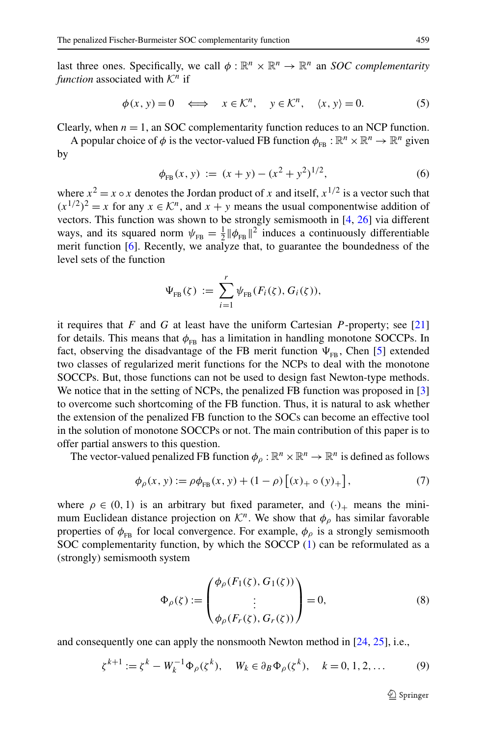last three ones. Specifically, we call  $\phi : \mathbb{R}^n \times \mathbb{R}^n \to \mathbb{R}^n$  an *SOC complementarity function* associated with  $K<sup>n</sup>$  if

$$
\phi(x, y) = 0 \iff x \in \mathcal{K}^n, \quad y \in \mathcal{K}^n, \quad \langle x, y \rangle = 0. \tag{5}
$$

Clearly, when  $n = 1$ , an SOC complementarity function reduces to an NCP function.

A popular choice of  $\phi$  is the vector-valued FB function  $\phi_{FB}: \mathbb{R}^n \times \mathbb{R}^n \to \mathbb{R}^n$  given by

<span id="page-2-0"></span>
$$
\phi_{FB}(x, y) := (x + y) - (x^2 + y^2)^{1/2}, \tag{6}
$$

where  $x^2 = x \circ x$  denotes the Jordan product of *x* and itself,  $x^{1/2}$  is a vector such that  $(x^{1/2})^2 = x$  for any  $x \in \mathcal{K}^n$ , and  $x + y$  means the usual componentwise addition of vectors. This function was shown to be strongly semismooth in [[4,](#page-33-11) [26](#page-34-2)] via different ways, and its squared norm  $\psi_{FB} = \frac{1}{2} ||\phi_{FB}||^2$  induces a continuously differentiable merit function [\[6](#page-33-2)]. Recently, we analyze that, to guarantee the boundedness of the level sets of the function

<span id="page-2-1"></span>
$$
\Psi_{\text{FB}}(\zeta) := \sum_{i=1}^r \psi_{\text{FB}}(F_i(\zeta), G_i(\zeta)),
$$

it requires that *F* and *G* at least have the uniform Cartesian *P* -property; see [\[21](#page-33-12)] for details. This means that  $\phi_{FB}$  has a limitation in handling monotone SOCCPs. In fact, observing the disadvantage of the FB merit function  $\Psi_{FB}$ , Chen [[5\]](#page-33-13) extended two classes of regularized merit functions for the NCPs to deal with the monotone SOCCPs. But, those functions can not be used to design fast Newton-type methods. We notice that in the setting of NCPs, the penalized FB function was proposed in [\[3](#page-33-14)] to overcome such shortcoming of the FB function. Thus, it is natural to ask whether the extension of the penalized FB function to the SOCs can become an effective tool in the solution of monotone SOCCPs or not. The main contribution of this paper is to offer partial answers to this question.

The vector-valued penalized FB function  $\phi_o : \mathbb{R}^n \times \mathbb{R}^n \to \mathbb{R}^n$  is defined as follows

$$
\phi_{\rho}(x, y) := \rho \phi_{FB}(x, y) + (1 - \rho) \left[ (x)_{+} \circ (y)_{+} \right],\tag{7}
$$

where  $\rho \in (0, 1)$  is an arbitrary but fixed parameter, and  $(\cdot)_+$  means the minimum Euclidean distance projection on  $\mathcal{K}^n$ . We show that  $\phi$ <sub>o</sub> has similar favorable properties of  $\phi_{FB}$  for local convergence. For example,  $\phi_{\rho}$  is a strongly semismooth SOC complementarity function, by which the SOCCP [\(1](#page-1-0)) can be reformulated as a (strongly) semismooth system

<span id="page-2-3"></span><span id="page-2-2"></span>
$$
\Phi_{\rho}(\zeta) := \begin{pmatrix} \phi_{\rho}(F_1(\zeta), G_1(\zeta)) \\ \vdots \\ \phi_{\rho}(F_r(\zeta), G_r(\zeta)) \end{pmatrix} = 0, \tag{8}
$$

and consequently one can apply the nonsmooth Newton method in [[24,](#page-34-3) [25\]](#page-34-4), i.e.,

$$
\zeta^{k+1} := \zeta^k - W_k^{-1} \Phi_\rho(\zeta^k), \quad W_k \in \partial_B \Phi_\rho(\zeta^k), \quad k = 0, 1, 2, \dots \tag{9}
$$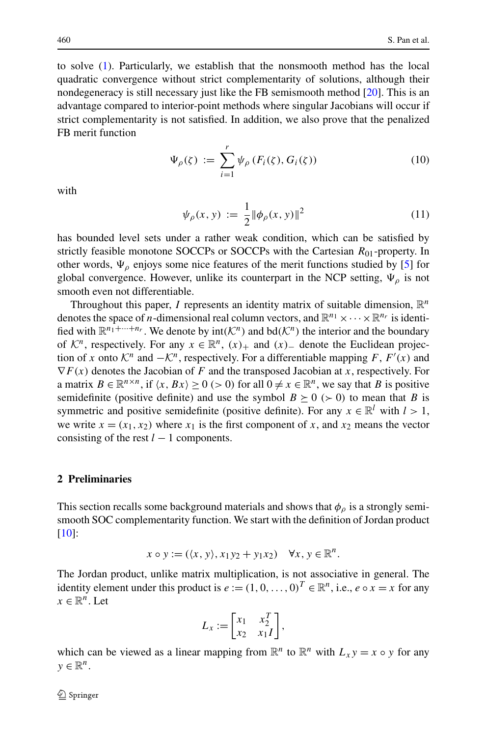to solve ([1\)](#page-1-0). Particularly, we establish that the nonsmooth method has the local quadratic convergence without strict complementarity of solutions, although their nondegeneracy is still necessary just like the FB semismooth method [[20\]](#page-33-15). This is an advantage compared to interior-point methods where singular Jacobians will occur if strict complementarity is not satisfied. In addition, we also prove that the penalized FB merit function

$$
\Psi_{\rho}(\zeta) := \sum_{i=1}^{r} \psi_{\rho} \left( F_i(\zeta), G_i(\zeta) \right) \tag{10}
$$

with

$$
\psi_{\rho}(x, y) := \frac{1}{2} ||\phi_{\rho}(x, y)||^2
$$
\n(11)

has bounded level sets under a rather weak condition, which can be satisfied by strictly feasible monotone SOCCPs or SOCCPs with the Cartesian *R*01-property. In other words,  $\Psi_{\rho}$  enjoys some nice features of the merit functions studied by [[5\]](#page-33-13) for global convergence. However, unlike its counterpart in the NCP setting,  $\Psi_{\rho}$  is not smooth even not differentiable.

Throughout this paper, *I* represents an identity matrix of suitable dimension,  $\mathbb{R}^n$ denotes the space of *n*-dimensional real column vectors, and  $\mathbb{R}^{n_1} \times \cdots \times \mathbb{R}^{n_r}$  is identified with  $\mathbb{R}^{n_1+\cdots+n_r}$ . We denote by  $int(\mathcal{K}^n)$  and  $bd(\mathcal{K}^n)$  the interior and the boundary of  $\mathcal{K}^n$ , respectively. For any  $x \in \mathbb{R}^n$ ,  $(x)_+$  and  $(x)_-$  denote the Euclidean projection of *x* onto  $\mathcal{K}^n$  and  $-\mathcal{K}^n$ , respectively. For a differentiable mapping *F*, *F*<sup>'</sup>(*x*) and  $\nabla F(x)$  denotes the Jacobian of *F* and the transposed Jacobian at *x*, respectively. For a matrix  $B \in \mathbb{R}^{n \times n}$ , if  $\langle x, Bx \rangle \ge 0$  (> 0) for all  $0 \ne x \in \mathbb{R}^n$ , we say that *B* is positive semidefinite (positive definite) and use the symbol  $B \ge 0$  ( $\ge 0$ ) to mean that *B* is symmetric and positive semidefinite (positive definite). For any  $x \in \mathbb{R}^l$  with  $l > 1$ , we write  $x = (x_1, x_2)$  where  $x_1$  is the first component of x, and  $x_2$  means the vector consisting of the rest  $l - 1$  components.

#### **2 Preliminaries**

This section recalls some background materials and shows that  $\phi$ <sub>*o*</sub> is a strongly semismooth SOC complementarity function. We start with the definition of Jordan product [\[10](#page-33-16)]:

$$
x \circ y := (\langle x, y \rangle, x_1 y_2 + y_1 x_2) \quad \forall x, y \in \mathbb{R}^n.
$$

The Jordan product, unlike matrix multiplication, is not associative in general. The identity element under this product is  $e := (1, 0, \ldots, 0)^T \in \mathbb{R}^n$ , i.e.,  $e \circ x = x$  for any  $x \in \mathbb{R}^n$ . Let

$$
L_x := \begin{bmatrix} x_1 & x_2^T \\ x_2 & x_1 I \end{bmatrix},
$$

which can be viewed as a linear mapping from  $\mathbb{R}^n$  to  $\mathbb{R}^n$  with  $L_x y = x \circ y$  for any  $y \in \mathbb{R}^n$ .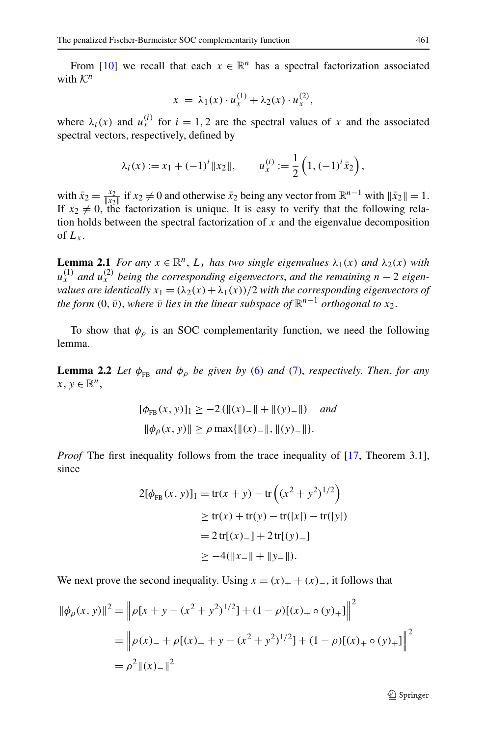From [\[10](#page-33-16)] we recall that each  $x \in \mathbb{R}^n$  has a spectral factorization associated with  $K^n$ 

$$
x = \lambda_1(x) \cdot u_x^{(1)} + \lambda_2(x) \cdot u_x^{(2)},
$$

where  $\lambda_i(x)$  and  $u_x^{(i)}$  for  $i = 1, 2$  are the spectral values of x and the associated spectral vectors, respectively, defined by

$$
\lambda_i(x) := x_1 + (-1)^i \|x_2\|, \qquad u_x^{(i)} := \frac{1}{2} \left( 1, (-1)^i \bar{x}_2 \right),
$$

<span id="page-4-1"></span>with  $\bar{x}_2 = \frac{x_2}{\|x_2\|}$  if  $x_2 \neq 0$  and otherwise  $\bar{x}_2$  being any vector from  $\mathbb{R}^{n-1}$  with  $\|\bar{x}_2\| = 1$ . If  $x_2 \neq 0$ , the factorization is unique. It is easy to verify that the following relation holds between the spectral factorization of *x* and the eigenvalue decomposition of  $L_x$ .

<span id="page-4-0"></span>**Lemma 2.1** *For any*  $x \in \mathbb{R}^n$ ,  $L_x$  *has two single eigenvalues*  $\lambda_1(x)$  *and*  $\lambda_2(x)$  *with*  $u_x^{(1)}$  and  $u_x^{(2)}$  being the corresponding eigenvectors, and the remaining  $n-2$  eigen*values are identically*  $x_1 = (\lambda_2(x) + \lambda_1(x))/2$  *with the corresponding eigenvectors of the form*  $(0, \bar{v})$ , *where*  $\bar{v}$  *lies in the linear subspace of*  $\mathbb{R}^{n-1}$  *orthogonal to x*<sub>2</sub>.

To show that  $\phi$ <sub>*ρ*</sub> is an SOC complementarity function, we need the following lemma.

**Lemma 2.2** *Let*  $\phi_{FR}$  *and*  $\phi_{p}$  *be given by* [\(6](#page-2-0)) *and* ([7\)](#page-2-1), *respectively. Then, for any*  $x, y \in \mathbb{R}^n$ ,

$$
[\phi_{FB}(x, y)]_1 \ge -2 (||(x) - || + ||(y) - ||) \quad and
$$
  

$$
||\phi_{\rho}(x, y)|| \ge \rho \max{||(x) - ||, ||(y) - ||}.
$$

*Proof* The first inequality follows from the trace inequality of [[17,](#page-33-17) Theorem 3.1], since

$$
2[\phi_{FB}(x, y)]_1 = tr(x + y) - tr((x^2 + y^2)^{1/2})
$$
  
\n
$$
\ge tr(x) + tr(y) - tr(|x|) - tr(|y|)
$$
  
\n
$$
= 2tr[(x) - 1 + 2tr[(y) - 1)]
$$
  
\n
$$
\ge -4(||x - 1| + ||y - 1|).
$$

We next prove the second inequality. Using  $x = (x)_+ + (x)_-,$  it follows that

$$
\|\phi_{\rho}(x, y)\|^2 = \left\|\rho[x + y - (x^2 + y^2)^{1/2}] + (1 - \rho)[(x)_+ \circ (y)_+] \right\|^2
$$
  
= 
$$
\left\|\rho(x)_- + \rho[(x)_+ + y - (x^2 + y^2)^{1/2}] + (1 - \rho)[(x)_+ \circ (y)_+] \right\|^2
$$
  
= 
$$
\rho^2 \|(x)_-\|^2
$$

 $\circledcirc$  Springer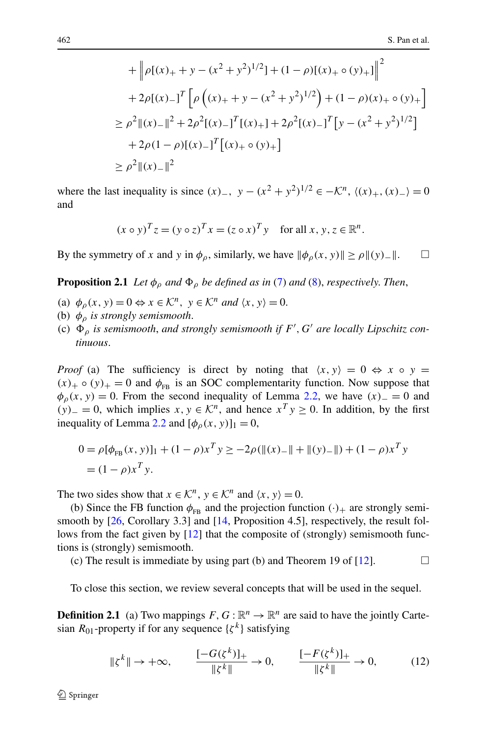+ 
$$
\left\| \rho[(x)_+ + y - (x^2 + y^2)^{1/2}] + (1 - \rho)[(x)_+ \circ (y)_+] \right\|^2
$$
  
+  $2\rho[(x)_-]^T \left[ \rho((x)_+ + y - (x^2 + y^2)^{1/2}) + (1 - \rho)(x)_+ \circ (y)_+ \right]$   
 $\geq \rho^2 ||(x)_-||^2 + 2\rho^2 [(x)_-]^T [(x)_+ + 2\rho^2 [(x)_-]^T [y - (x^2 + y^2)^{1/2}]$   
+  $2\rho(1 - \rho)[(x)_-]^T [(x)_+ \circ (y)_+]$   
 $\geq \rho^2 ||(x)_-||^2$ 

<span id="page-5-0"></span>where the last inequality is since  $(x)$ <sub>−</sub>,  $y - (x^2 + y^2)^{1/2} \in -\mathcal{K}^n$ ,  $\langle (x)_{+}, (x)_{-} \rangle = 0$ and

$$
(x \circ y)^T z = (y \circ z)^T x = (z \circ x)^T y \quad \text{for all } x, y, z \in \mathbb{R}^n.
$$

By the symmetry of *x* and *y* in  $\phi$ <sub>*ρ*</sub>, similarly, we have  $\|\phi$ <sub>*ρ*</sub>(*x*, *y*) $\|\geq \rho \|(y)$ <sup>-</sup>.

**Proposition 2.1** *Let*  $\phi$ <sub>*o</sub> and*  $\Phi$ <sub> $o$ *</sub> <i>be defined as in* ([7\)](#page-2-1) *and* [\(8](#page-2-2)), *respectively. Then*,</sub></sub>

- (a)  $\phi_{\rho}(x, y) = 0 \Leftrightarrow x \in \mathcal{K}^n$ ,  $y \in \mathcal{K}^n$  *and*  $\langle x, y \rangle = 0$ .
- (b) *φρ is strongly semismooth*.
- (c)  $\Phi_{\rho}$  *is semismooth, and strongly semismooth if*  $F'$ ,  $G'$  *are locally Lipschitz continuous*.

*Proof* (a) The sufficiency is direct by noting that  $\langle x, y \rangle = 0 \Leftrightarrow x \circ y = 0$  $(x)_{+} \circ (y)_{+} = 0$  and  $\phi_{FB}$  is an SOC complementarity function. Now suppose that  $\phi$ <sub>*ρ*</sub>(*x*, *y*) = 0. From the second inequality of Lemma [2.2](#page-4-0), we have  $(x)$  = 0 and *(y)*− = 0, which implies *x*, *y* ∈  $\mathcal{K}^n$ , and hence  $x^T y \ge 0$ . In addition, by the first inequality of Lemma [2.2](#page-4-0) and  $[\phi_0(x, y)]_1 = 0$ ,

$$
0 = \rho [\phi_{FB}(x, y)]_1 + (1 - \rho)x^T y \ge -2\rho (\|(x)_{-}\| + \|(y)_{-}\|) + (1 - \rho)x^T y
$$
  
=  $(1 - \rho)x^T y$ .

The two sides show that  $x \in \mathcal{K}^n$ ,  $y \in \mathcal{K}^n$  and  $\langle x, y \rangle = 0$ .

<span id="page-5-1"></span>(b) Since the FB function  $\phi_{FR}$  and the projection function  $(\cdot)_+$  are strongly semismooth by [\[26](#page-34-2), Corollary 3.3] and [\[14](#page-33-9), Proposition 4.5], respectively, the result fol-lows from the fact given by [[12\]](#page-33-18) that the composite of (strongly) semismooth functions is (strongly) semismooth.

(c) The result is immediate by using part (b) and Theorem 19 of [\[12](#page-33-18)].  $\Box$ 

To close this section, we review several concepts that will be used in the sequel.

**Definition 2.1** (a) Two mappings  $F, G : \mathbb{R}^n \to \mathbb{R}^n$  are said to have the jointly Cartesian  $R_{01}$ -property if for any sequence  $\{\zeta^k\}$  satisfying

$$
\|\zeta^{k}\| \to +\infty, \qquad \frac{[-G(\zeta^{k})]_{+}}{\|\zeta^{k}\|} \to 0, \qquad \frac{[-F(\zeta^{k})]_{+}}{\|\zeta^{k}\|} \to 0, \tag{12}
$$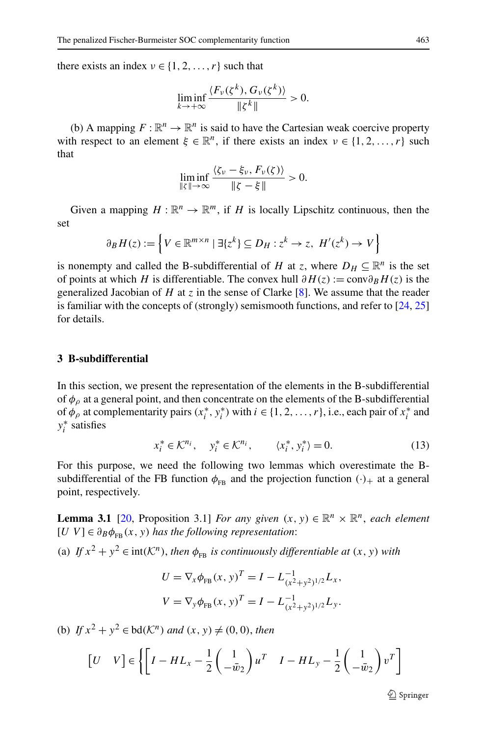there exists an index  $v \in \{1, 2, ..., r\}$  such that

$$
\liminf_{k\to+\infty}\frac{\langle F_\nu(\zeta^k),G_\nu(\zeta^k)\rangle}{\|\zeta^k\|}>0.
$$

(b) A mapping  $F: \mathbb{R}^n \to \mathbb{R}^n$  is said to have the Cartesian weak coercive property with respect to an element  $\xi \in \mathbb{R}^n$ , if there exists an index  $\nu \in \{1, 2, ..., r\}$  such that

$$
\liminf_{\|\zeta\|\to\infty}\frac{\langle \zeta_{\nu}-\xi_{\nu}, F_{\nu}(\zeta) \rangle}{\|\zeta-\xi\|} > 0.
$$

Given a mapping  $H : \mathbb{R}^n \to \mathbb{R}^m$ , if *H* is locally Lipschitz continuous, then the set

$$
\partial_B H(z) := \left\{ V \in \mathbb{R}^{m \times n} \mid \exists \{ z^k \} \subseteq D_H : z^k \to z, \ H'(z^k) \to V \right\}
$$

is nonempty and called the B-subdifferential of *H* at *z*, where  $D_H \subseteq \mathbb{R}^n$  is the set of points at which *H* is differentiable. The convex hull  $\partial H(z) := \text{conv} \partial_B H(z)$  is the generalized Jacobian of *H* at *z* in the sense of Clarke [\[8](#page-33-19)]. We assume that the reader is familiar with the concepts of (strongly) semismooth functions, and refer to  $[24, 25]$  $[24, 25]$  $[24, 25]$  $[24, 25]$  $[24, 25]$ for details.

# **3 B-subdifferential**

In this section, we present the representation of the elements in the B-subdifferential of  $\phi$ <sup>0</sup> at a general point, and then concentrate on the elements of the B-subdifferential of  $\phi$ <sub>*ρ*</sub> at complementarity pairs  $(x_i^*, y_i^*)$  with  $i \in \{1, 2, ..., r\}$ , i.e., each pair of  $x_i^*$  and *y*∗ *<sup>i</sup>* satisfies

<span id="page-6-1"></span><span id="page-6-0"></span>
$$
x_i^* \in \mathcal{K}^{n_i}, \quad y_i^* \in \mathcal{K}^{n_i}, \qquad \langle x_i^*, y_i^* \rangle = 0. \tag{13}
$$

For this purpose, we need the following two lemmas which overestimate the Bsubdifferential of the FB function  $\phi_{FR}$  and the projection function  $(\cdot)_+$  at a general point, respectively.

**Lemma 3.1** [\[20](#page-33-15), Proposition 3.1] *For any given*  $(x, y) \in \mathbb{R}^n \times \mathbb{R}^n$ , *each element*  $[U \ V] \in \partial_B \phi_{FB}(x, y)$  *has the following representation*:

(a) *If*  $x^2 + y^2 \in \text{int}(\mathcal{K}^n)$ , *then*  $\phi_{\text{FB}}$  *is continuously differentiable at*  $(x, y)$  *with* 

$$
U = \nabla_{x} \phi_{FB}(x, y)^{T} = I - L_{(x^{2}+y^{2})^{1/2}}^{-1} L_{x},
$$
  
\n
$$
V = \nabla_{y} \phi_{FB}(x, y)^{T} = I - L_{(x^{2}+y^{2})^{1/2}}^{-1} L_{y}.
$$

(b) *If*  $x^2 + y^2 \in bd(\mathcal{K}^n)$  *and*  $(x, y) \neq (0, 0)$ *, then* 

$$
\begin{bmatrix} U & V \end{bmatrix} \in \left\{ \begin{bmatrix} I - HL_x - \frac{1}{2} \begin{pmatrix} 1 \\ -\bar{w}_2 \end{pmatrix} u^T & I - HL_y - \frac{1}{2} \begin{pmatrix} 1 \\ -\bar{w}_2 \end{pmatrix} v^T \right\}
$$

 $\circledcirc$  Springer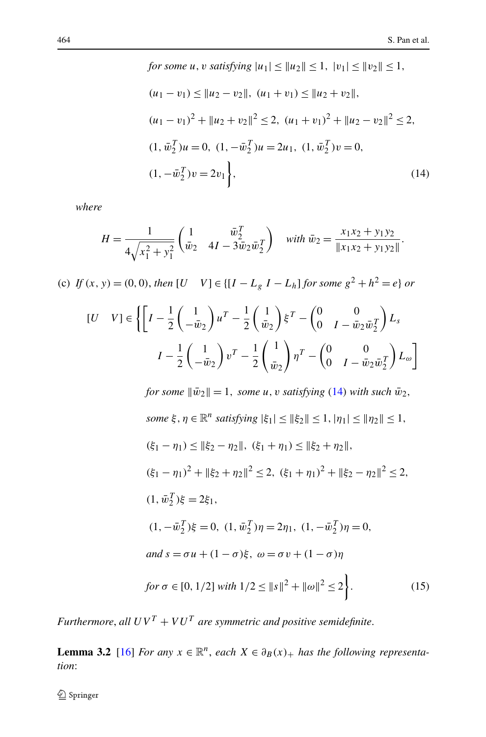<span id="page-7-0"></span>for some 
$$
u
$$
,  $v$  satisfying  $|u_1| \le ||u_2|| \le 1$ ,  $|v_1| \le ||v_2|| \le 1$ ,  
\n
$$
(u_1 - v_1) \le ||u_2 - v_2||, \quad (u_1 + v_1) \le ||u_2 + v_2||,
$$
\n
$$
(u_1 - v_1)^2 + ||u_2 + v_2||^2 \le 2, \quad (u_1 + v_1)^2 + ||u_2 - v_2||^2 \le 2,
$$
\n
$$
(1, \bar{w}_2^T)u = 0, \quad (1, -\bar{w}_2^T)u = 2u_1, \quad (1, \bar{w}_2^T)v = 0,
$$
\n
$$
(1, -\bar{w}_2^T)v = 2v_1,
$$
\n
$$
(14)
$$

*where*

$$
H = \frac{1}{4\sqrt{x_1^2 + y_1^2}} \begin{pmatrix} 1 & \bar{w}_2^T \\ \bar{w}_2 & 4I - 3\bar{w}_2 \bar{w}_2^T \end{pmatrix} \quad \text{with } \bar{w}_2 = \frac{x_1 x_2 + y_1 y_2}{\|x_1 x_2 + y_1 y_2\|}.
$$

(c) *If*  $(x, y) = (0, 0)$ , *then*  $[U \quad V] \in \{[I - L_g I - L_h] \text{ for some } g^2 + h^2 = e\}$  or

$$
[U \quad V] \in \left\{ \left[ I - \frac{1}{2} \begin{pmatrix} 1 \\ -\bar{w}_2 \end{pmatrix} u^T - \frac{1}{2} \begin{pmatrix} 1 \\ \bar{w}_2 \end{pmatrix} \xi^T - \begin{pmatrix} 0 & 0 \\ 0 & I - \bar{w}_2 \bar{w}_2^T \end{pmatrix} L_s \right\}
$$

$$
I - \frac{1}{2} \begin{pmatrix} 1 \\ -\bar{w}_2 \end{pmatrix} v^T - \frac{1}{2} \begin{pmatrix} 1 \\ \bar{w}_2 \end{pmatrix} \eta^T - \begin{pmatrix} 0 & 0 \\ 0 & I - \bar{w}_2 \bar{w}_2^T \end{pmatrix} L_\omega \right\}
$$

for some 
$$
\|\bar{w}_2\| = 1
$$
, some *u*, *v* satisfying (14) with such  $\bar{w}_2$ ,  
\nsome  $\xi$ ,  $\eta \in \mathbb{R}^n$  satisfying  $|\xi_1| \leq \|\xi_2\| \leq 1$ ,  $|\eta_1| \leq \|\eta_2\| \leq 1$ ,  
\n $(\xi_1 - \eta_1) \leq \|\xi_2 - \eta_2\|$ ,  $(\xi_1 + \eta_1) \leq \|\xi_2 + \eta_2\|$ ,  
\n $(\xi_1 - \eta_1)^2 + \|\xi_2 + \eta_2\|^2 \leq 2$ ,  $(\xi_1 + \eta_1)^2 + \|\xi_2 - \eta_2\|^2 \leq 2$ ,  
\n $(1, \bar{w}_2^T)\xi = 2\xi_1$ ,  
\n $(1, -\bar{w}_2^T)\xi = 0$ ,  $(1, \bar{w}_2^T)\eta = 2\eta_1$ ,  $(1, -\bar{w}_2^T)\eta = 0$ ,  
\nand  $s = \sigma u + (1 - \sigma)\xi$ ,  $\omega = \sigma v + (1 - \sigma)\eta$   
\nfor  $\sigma \in [0, 1/2]$  with  $1/2 \leq \|s\|^2 + \|\omega\|^2 \leq 2$ .  
\n(15)

<span id="page-7-1"></span>*Furthermore, all*  $UV^T + VU^T$  *are symmetric and positive semidefinite.* 

**Lemma 3.2** [[16\]](#page-33-10) *For any*  $x \in \mathbb{R}^n$ , *each*  $X \in \partial_B(x)_+$  *has the following representation*: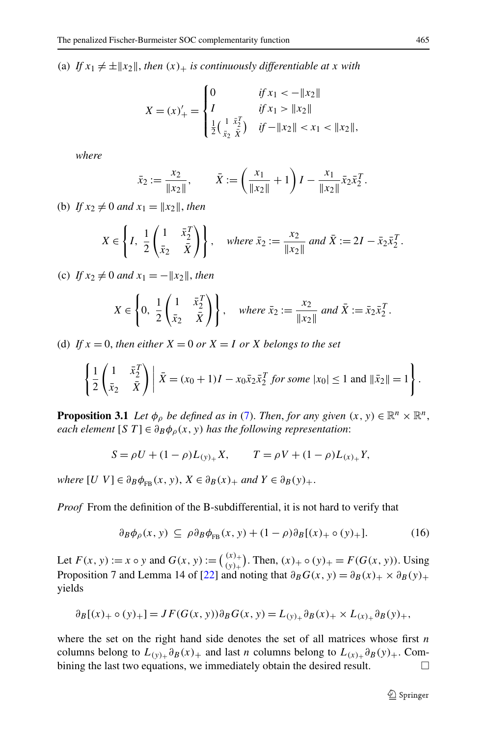(a) If  $x_1 \neq \pm |x_2|$ , then  $(x)_+$  is continuously differentiable at x with

$$
X = (x)'_{+} = \begin{cases} 0 & \text{if } x_{1} < -\|x_{2}\| \\ I & \text{if } x_{1} > \|x_{2}\| \\ \frac{1}{2} \left(\frac{1}{x_{2}} \frac{\bar{x}^{T}}{\bar{x}}\right) & \text{if } -\|x_{2}\| < x_{1} < \|x_{2}\|, \end{cases}
$$

*where*

$$
\bar{x}_2 := \frac{x_2}{\|x_2\|}, \qquad \bar{X} := \left(\frac{x_1}{\|x_2\|} + 1\right)I - \frac{x_1}{\|x_2\|} \bar{x}_2 \bar{x}_2^T.
$$

(b) *If*  $x_2 \neq 0$  *and*  $x_1 = ||x_2||$ *, then* 

$$
X \in \left\{ I, \frac{1}{2} \begin{pmatrix} 1 & \bar{x}_2^T \\ \bar{x}_2 & \bar{\bar{X}} \end{pmatrix} \right\}, \quad \text{where } \bar{x}_2 := \frac{x_2}{\|x_2\|} \text{ and } \bar{X} := 2I - \bar{x}_2 \bar{x}_2^T.
$$

(c) *If*  $x_2 \neq 0$  *and*  $x_1 = -||x_2||$ *, then* 

$$
X \in \left\{0, \frac{1}{2} \begin{pmatrix} 1 & \bar{x}_2^T \\ \bar{x}_2 & \bar{X} \end{pmatrix}\right\}, \quad \text{where } \bar{x}_2 := \frac{x_2}{\|x_2\|} \text{ and } \bar{X} := \bar{x}_2 \bar{x}_2^T.
$$

<span id="page-8-0"></span>(d) If  $x = 0$ , then either  $X = 0$  or  $X = I$  or  $X$  belongs to the set

$$
\left\{\frac{1}{2}\begin{pmatrix}1 & \bar{x}_2^T \\ \bar{x}_2 & \bar{X}\end{pmatrix} \middle| \ \bar{X} = (x_0 + 1)I - x_0\bar{x}_2\bar{x}_2^T \ \text{for some} \ |x_0| \le 1 \ \text{and} \ \|\bar{x}_2\| = 1\right\}.
$$

**Proposition 3.1** *Let*  $\phi_\rho$  *be defined as in* ([7\)](#page-2-1). *Then, for any given*  $(x, y) \in \mathbb{R}^n \times \mathbb{R}^n$ , *each element* [*S T*]  $\in \partial_B \phi_\rho(x, y)$  *has the following representation*:

$$
S = \rho U + (1 - \rho)L_{(y)_+}X, \qquad T = \rho V + (1 - \rho)L_{(x)_+}Y,
$$

 $where \begin{bmatrix} U \ V \end{bmatrix} \in \partial_B \phi_{FB}(x, y), X \in \partial_B(x)_+$  *and*  $Y \in \partial_B(y)_+$ .

*Proof* From the definition of the B-subdifferential, it is not hard to verify that

$$
\partial_B \phi_\rho(x, y) \subseteq \rho \partial_B \phi_{FB}(x, y) + (1 - \rho) \partial_B [(x)_+ \circ (y)_+]. \tag{16}
$$

Let  $F(x, y) := x \circ y$  and  $G(x, y) := {x \choose y}$ . Then,  $(x)_{+} \circ (y)_{+} = F(G(x, y))$ . Using Proposition 7 and Lemma 14 of [\[22](#page-34-5)] and noting that  $\partial_B G(x, y) = \partial_B(x) + \partial_B(y) + \partial_B(y)$ yields

$$
\partial_B[(x)_+ \circ (y)_+] = JF(G(x, y))\partial_B G(x, y) = L_{(y)_+}\partial_B(x)_+ \times L_{(x)_+}\partial_B(y)_+,
$$

where the set on the right hand side denotes the set of all matrices whose first *n* columns belong to  $L_{(y)+} \partial_B(x)$  + and last *n* columns belong to  $L_{(x)+} \partial_B(y)$  +. Combining the last two equations, we immediately obtain the desired result. □ bining the last two equations, we immediately obtain the desired result.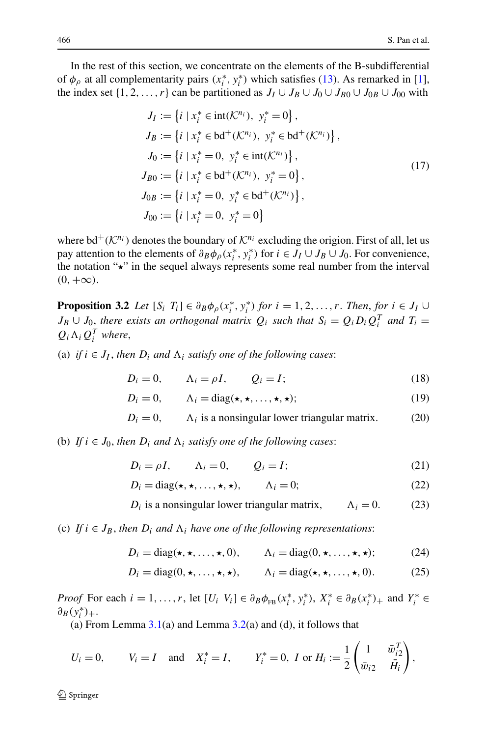<span id="page-9-9"></span>In the rest of this section, we concentrate on the elements of the B-subdifferential of  $\phi$ <sup>*ρ*</sup> at all complementarity pairs  $(x_i^*, y_i^*)$  which satisfies [\(13](#page-6-0)). As remarked in [[1\]](#page-33-3), the index set  $\{1, 2, ..., r\}$  can be partitioned as  $J_I \cup J_B \cup J_0 \cup J_{B0} \cup J_{0B} \cup J_{00}$  with

$$
J_{I} := \{i \mid x_{i}^{*} \in \text{int}(\mathcal{K}^{n_{i}}), y_{i}^{*} = 0\},
$$
  
\n
$$
J_{B} := \{i \mid x_{i}^{*} \in \text{bd}^{+}(\mathcal{K}^{n_{i}}), y_{i}^{*} \in \text{bd}^{+}(\mathcal{K}^{n_{i}})\},
$$
  
\n
$$
J_{0} := \{i \mid x_{i}^{*} = 0, y_{i}^{*} \in \text{int}(\mathcal{K}^{n_{i}})\},
$$
  
\n
$$
J_{B0} := \{i \mid x_{i}^{*} \in \text{bd}^{+}(\mathcal{K}^{n_{i}}), y_{i}^{*} = 0\},
$$
  
\n
$$
J_{0B} := \{i \mid x_{i}^{*} = 0, y_{i}^{*} \in \text{bd}^{+}(\mathcal{K}^{n_{i}})\},
$$
  
\n
$$
J_{00} := \{i \mid x_{i}^{*} = 0, y_{i}^{*} = 0\}
$$
  
\n(17)

<span id="page-9-4"></span>where  $\mathrm{bd}^+(\mathcal{K}^{n_i})$  denotes the boundary of  $\mathcal{K}^{n_i}$  excluding the origion. First of all, let us pay attention to the elements of  $\partial_B \phi_\rho(x_i^*, y_i^*)$  for  $i \in J_I \cup J_B \cup J_0$ . For convenience, the notation " $\star$ " in the sequel always represents some real number from the interval  $(0, +\infty)$ .

<span id="page-9-5"></span><span id="page-9-1"></span><span id="page-9-0"></span>**Proposition 3.2** *Let*  $[S_i \ T_i] \in \partial_B \phi_\rho(x_i^*, y_i^*)$  *for*  $i = 1, 2, ..., r$ . *Then, for*  $i \in J_I \cup$  $J_B \cup J_0$ , there exists an orthogonal matrix  $Q_i$  such that  $S_i = Q_i D_i Q_i^T$  and  $T_i =$  $Q_i \Lambda_i Q_i^T$  *where,* 

<span id="page-9-7"></span><span id="page-9-6"></span>(a) *if*  $i \in J_I$ , *then*  $D_i$  *and*  $\Lambda_i$  *satisfy one of the following cases:* 

$$
D_i = 0, \qquad \Lambda_i = \rho I, \qquad Q_i = I; \tag{18}
$$

$$
D_i = 0, \qquad \Lambda_i = \text{diag}(\star, \star, \dots, \star, \star); \tag{19}
$$

$$
D_i = 0, \qquad \Lambda_i \text{ is a nonsingular lower triangular matrix.} \tag{20}
$$

<span id="page-9-8"></span><span id="page-9-3"></span><span id="page-9-2"></span>(b) *If*  $i \in J_0$ , *then*  $D_i$  *and*  $\Lambda_i$  *satisfy one of the following cases:* 

$$
D_i = \rho I, \qquad \Lambda_i = 0, \qquad Q_i = I; \tag{21}
$$

$$
D_i = \text{diag}(\star, \star, \dots, \star, \star), \qquad \Lambda_i = 0; \tag{22}
$$

 $D_i$  is a nonsingular lower triangular matrix,  $\Lambda_i = 0$ . (23)

(c) *If*  $i \in J_B$ , then  $D_i$  and  $\Lambda_i$  have one of the following representations:

$$
D_i = \text{diag}(\star, \star, \dots, \star, 0), \qquad \Lambda_i = \text{diag}(0, \star, \dots, \star, \star); \tag{24}
$$

$$
D_i = \text{diag}(0, \star, \dots, \star, \star), \qquad \Lambda_i = \text{diag}(\star, \star, \dots, \star, 0). \tag{25}
$$

*Proof* For each  $i = 1, ..., r$ , let  $[U_i \ V_i] \in \partial_B \phi_{FB}(x_i^*, y_i^*)$ ,  $X_i^* \in \partial_B (x_i^*)_+$  and  $Y_i^* \in$  $\partial_B(y_i^*)_+$ .

(a) From Lemma  $3.1(a)$  $3.1(a)$  and Lemma  $3.2(a)$  $3.2(a)$  and (d), it follows that

$$
U_i = 0,
$$
  $V_i = I$  and  $X_i^* = I,$   $Y_i^* = 0,$   $I$  or  $H_i := \frac{1}{2} \begin{pmatrix} 1 & \bar{w}_{i2}^T \\ \bar{w}_{i2} & \bar{H}_i \end{pmatrix},$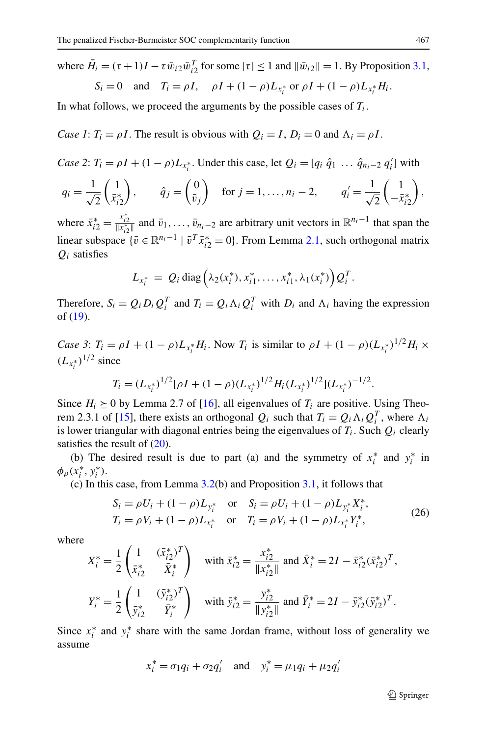where  $\bar{H}_i = (\tau + 1)I - \tau \bar{w}_{i2} \bar{w}_{i2}^T$  for some  $|\tau| \le 1$  and  $||\bar{w}_{i2}|| = 1$ . By Proposition [3.1](#page-8-0),  $\overline{S} = 0$  and  $\overline{T} = \rho I$ ,  $\rho I \pm (1 - \rho)I$ 

$$
S_i = 0
$$
 and  $T_i = \rho I$ ,  $\rho I + (1 - \rho)L_{x_i^*}$  or  $\rho I + (1 - \rho)L_{x_i^*}H_i$ .

In what follows, we proceed the arguments by the possible cases of  $T_i$ .

*Case 1*:  $T_i = \rho I$ . The result is obvious with  $Q_i = I$ ,  $D_i = 0$  and  $\Lambda_i = \rho I$ .

Case 2: 
$$
T_i = \rho I + (1 - \rho)L_{x_i^*}
$$
. Under this case, let  $Q_i = [q_i \hat{q}_1 ... \hat{q}_{n_i-2} q'_i]$  with  
\n $q_i = \frac{1}{\sqrt{2}} \begin{pmatrix} 1 \\ \bar{x}_{i2}^* \end{pmatrix}$ ,  $\hat{q}_j = \begin{pmatrix} 0 \\ \bar{v}_j \end{pmatrix}$  for  $j = 1,..., n_i - 2$ ,  $q'_i = \frac{1}{\sqrt{2}} \begin{pmatrix} 1 \\ -\bar{x}_{i2}^* \end{pmatrix}$ ,

where  $\bar{x}_{i2}^* = \frac{x_{i2}^*}{|x_{i2}^*|}$  and  $\bar{v}_1, \ldots, \bar{v}_{n_i-2}$  are arbitrary unit vectors in  $\mathbb{R}^{n_i-1}$  that span the linear subspace  $\{\bar{v} \in \mathbb{R}^{n_i-1} \mid \bar{v}^T \bar{x}_{i2}^* = 0\}$ . From Lemma [2.1](#page-4-1), such orthogonal matrix *Qi* satisfies

$$
L_{x_i^*} = Q_i \operatorname{diag} \left( \lambda_2(x_i^*), x_{i1}^*, \ldots, x_{i1}^*, \lambda_1(x_i^*) \right) Q_i^T.
$$

Therefore,  $S_i = Q_i D_i Q_i^T$  and  $T_i = Q_i \Lambda_i Q_i^T$  with  $D_i$  and  $\Lambda_i$  having the expression of ([19\)](#page-9-0).

*Case 3*:  $T_i = \rho I + (1 - \rho)L_{x_i^*}H_i$ . Now  $T_i$  is similar to  $\rho I + (1 - \rho)(L_{x_i^*})^{1/2}H_i \times$  $(L_{x_i^*})^{1/2}$  since

$$
T_i = (L_{x_i^*})^{1/2} [\rho I + (1 - \rho)(L_{x_i^*})^{1/2} H_i (L_{x_i^*})^{1/2}] (L_{x_i^*})^{-1/2}.
$$

<span id="page-10-0"></span>Since  $H_i \geq 0$  by Lemma 2.7 of [\[16](#page-33-10)], all eigenvalues of  $T_i$  are positive. Using Theo-rem 2.3.1 of [\[15](#page-33-20)], there exists an orthogonal  $Q_i$  such that  $T_i = Q_i \Lambda_i Q_i^T$ , where  $\Lambda_i$ is lower triangular with diagonal entries being the eigenvalues of  $T_i$ . Such  $Q_i$  clearly satisfies the result of  $(20)$  $(20)$ .

(b) The desired result is due to part (a) and the symmetry of  $x_i^*$  and  $y_i^*$  in  $\phi_{\rho}(x_i^*, y_i^*).$ 

(c) In this case, from Lemma [3.2](#page-7-1)(b) and Proposition [3.1](#page-8-0), it follows that

$$
S_i = \rho U_i + (1 - \rho) L_{y_i^*} \quad \text{or} \quad S_i = \rho U_i + (1 - \rho) L_{y_i^*} X_i^*,
$$
  
\n
$$
T_i = \rho V_i + (1 - \rho) L_{x_i^*} \quad \text{or} \quad T_i = \rho V_i + (1 - \rho) L_{x_i^*} Y_i^*,
$$
\n(26)

where

$$
X_i^* = \frac{1}{2} \begin{pmatrix} 1 & (\bar{x}_{i2}^*)^T \\ \bar{x}_{i2}^* & \bar{X}_i^* \end{pmatrix} \quad \text{with } \bar{x}_{i2}^* = \frac{x_{i2}^*}{\|x_{i2}^*\|} \text{ and } \bar{X}_i^* = 2I - \bar{x}_{i2}^*(\bar{x}_{i2}^*)^T,
$$
  

$$
Y_i^* = \frac{1}{2} \begin{pmatrix} 1 & (\bar{y}_{i2}^*)^T \\ \bar{y}_{i2}^* & \bar{Y}_i^* \end{pmatrix} \quad \text{with } \bar{y}_{i2}^* = \frac{y_{i2}^*}{\|y_{i2}^*\|} \text{ and } \bar{Y}_i^* = 2I - \bar{y}_{i2}^*(\bar{y}_{i2}^*)^T.
$$

Since  $x_i^*$  and  $y_i^*$  share with the same Jordan frame, without loss of generality we assume

$$
x_i^* = \sigma_1 q_i + \sigma_2 q'_i
$$
 and  $y_i^* = \mu_1 q_i + \mu_2 q'_i$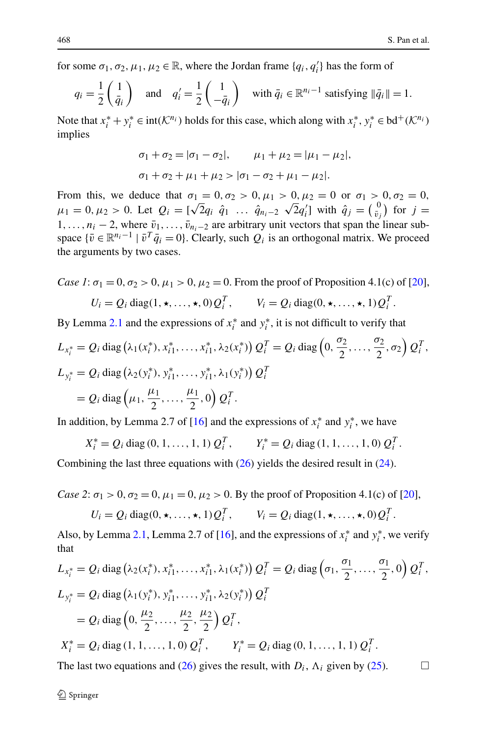for some  $\sigma_1, \sigma_2, \mu_1, \mu_2 \in \mathbb{R}$ , where the Jordan frame  $\{q_i, q'_i\}$  has the form of

$$
q_i = \frac{1}{2} \begin{pmatrix} 1 \\ \bar{q}_i \end{pmatrix} \quad \text{and} \quad q'_i = \frac{1}{2} \begin{pmatrix} 1 \\ -\bar{q}_i \end{pmatrix} \quad \text{with } \bar{q}_i \in \mathbb{R}^{n_i - 1} \text{ satisfying } \|\bar{q}_i\| = 1.
$$

Note that  $x_i^* + y_i^* \in \text{int}(\mathcal{K}^{n_i})$  holds for this case, which along with  $x_i^*$ ,  $y_i^* \in \text{bd}^+(\mathcal{K}^{n_i})$ implies

$$
\sigma_1 + \sigma_2 = |\sigma_1 - \sigma_2|, \qquad \mu_1 + \mu_2 = |\mu_1 - \mu_2|,
$$
  

$$
\sigma_1 + \sigma_2 + \mu_1 + \mu_2 > |\sigma_1 - \sigma_2 + \mu_1 - \mu_2|.
$$

From this, we deduce that  $\sigma_1 = 0, \sigma_2 > 0, \mu_1 > 0, \mu_2 = 0$  or  $\sigma_1 > 0, \sigma_2 = 0$ , *μ*<sub>1</sub> = 0,  $\mu_2 > 0$ . Let  $Q_i = [\sqrt{2}q_i \quad \hat{q}_1 \quad \dots \quad \hat{q}_{n_i-2} \quad \sqrt{2}q_i]$  with  $\hat{q}_j = \begin{pmatrix} 0 \\ \bar{v}_j \end{pmatrix}$  for  $j =$  $1, \ldots, n_i - 2$ , where  $\bar{v}_1, \ldots, \bar{v}_{n_i-2}$  are arbitrary unit vectors that span the linear subspace  $\{\bar{v} \in \mathbb{R}^{n_i-1} \mid \bar{v}^T \bar{q}_i = 0\}$ . Clearly, such  $Q_i$  is an orthogonal matrix. We proceed the arguments by two cases.

Case 1: 
$$
\sigma_1 = 0
$$
,  $\sigma_2 > 0$ ,  $\mu_1 > 0$ ,  $\mu_2 = 0$ . From the proof of Proposition 4.1(c) of [20],  
\n $U_i = Q_i \text{ diag}(1, \star, ..., \star, 0) Q_i^T$ ,  $V_i = Q_i \text{ diag}(0, \star, ..., \star, 1) Q_i^T$ .

By Lemma [2.1](#page-4-1) and the expressions of  $x_i^*$  and  $y_i^*$ , it is not difficult to verify that

$$
L_{x_i^*} = Q_i \operatorname{diag} (\lambda_1(x_i^*), x_{i1}^*, \dots, x_{i1}^*, \lambda_2(x_i^*)) Q_i^T = Q_i \operatorname{diag} (0, \frac{\sigma_2}{2}, \dots, \frac{\sigma_2}{2}, \sigma_2) Q_i^T,
$$
  
\n
$$
L_{y_i^*} = Q_i \operatorname{diag} (\lambda_2(y_i^*), y_{i1}^*, \dots, y_{i1}^*, \lambda_1(y_i^*)) Q_i^T
$$
  
\n
$$
= Q_i \operatorname{diag} (\mu_1, \frac{\mu_1}{2}, \dots, \frac{\mu_1}{2}, 0) Q_i^T.
$$

In addition, by Lemma 2.7 of [[16\]](#page-33-10) and the expressions of  $x_i^*$  and  $y_i^*$ , we have

$$
X_i^* = Q_i \operatorname{diag}(0, 1, \dots, 1, 1) Q_i^T, \qquad Y_i^* = Q_i \operatorname{diag}(1, 1, \dots, 1, 0) Q_i^T.
$$

Combining the last three equations with ([26\)](#page-10-0) yields the desired result in ([24\)](#page-9-2).

*Case 2*:  $\sigma_1 > 0$ ,  $\sigma_2 = 0$ ,  $\mu_1 = 0$ ,  $\mu_2 > 0$ . By the proof of Proposition 4.1(c) of [[20\]](#page-33-15),

$$
U_i = Q_i \operatorname{diag}(0, \star, \ldots, \star, 1) Q_i^T, \qquad V_i = Q_i \operatorname{diag}(1, \star, \ldots, \star, 0) Q_i^T.
$$

Also, by Lemma [2.1,](#page-4-1) Lemma 2.7 of [[16\]](#page-33-10), and the expressions of  $x_i^*$  and  $y_i^*$ , we verify that

$$
L_{x_i^*} = Q_i \operatorname{diag} (\lambda_2(x_i^*), x_{i1}^*, \dots, x_{i1}^*, \lambda_1(x_i^*)) Q_i^T = Q_i \operatorname{diag} (\sigma_1, \frac{\sigma_1}{2}, \dots, \frac{\sigma_1}{2}, 0) Q_i^T,
$$
  
\n
$$
L_{y_i^*} = Q_i \operatorname{diag} (\lambda_1(y_i^*), y_{i1}^*, \dots, y_{i1}^*, \lambda_2(y_i^*)) Q_i^T
$$
  
\n
$$
= Q_i \operatorname{diag} (\sigma, \frac{\mu_2}{2}, \dots, \frac{\mu_2}{2}, \frac{\mu_2}{2}) Q_i^T,
$$
  
\n
$$
X_i^* = Q_i \operatorname{diag} (1, 1, \dots, 1, 0) Q_i^T, \qquad Y_i^* = Q_i \operatorname{diag} (0, 1, \dots, 1, 1) Q_i^T.
$$

The last two equations and [\(26](#page-10-0)) gives the result, with  $D_i$ ,  $\Lambda_i$  given by ([25\)](#page-9-3).  $\Box$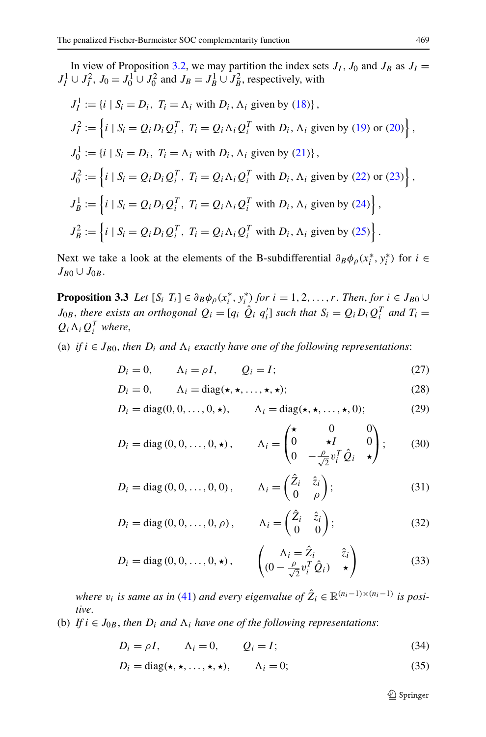In view of Proposition [3.2](#page-9-4), we may partition the index sets  $J_I$ ,  $J_0$  and  $J_B$  as  $J_I =$  $J_I^1 \cup J_I^2$ ,  $J_0 = J_0^1 \cup J_0^2$  and  $J_B = J_B^1 \cup J_B^2$ , respectively, with

$$
J_I^1 := \{i \mid S_i = D_i, T_i = \Lambda_i \text{ with } D_i, \Lambda_i \text{ given by (18)}\},
$$
  
\n
$$
J_I^2 := \left\{i \mid S_i = Q_i D_i Q_i^T, T_i = Q_i \Lambda_i Q_i^T \text{ with } D_i, \Lambda_i \text{ given by (19) or (20)}\right\},
$$
  
\n
$$
J_0^1 := \{i \mid S_i = D_i, T_i = \Lambda_i \text{ with } D_i, \Lambda_i \text{ given by (21)}\},
$$
  
\n
$$
J_0^2 := \left\{i \mid S_i = Q_i D_i Q_i^T, T_i = Q_i \Lambda_i Q_i^T \text{ with } D_i, \Lambda_i \text{ given by (22) or (23)}\right\},
$$
  
\n
$$
J_B^1 := \left\{i \mid S_i = Q_i D_i Q_i^T, T_i = Q_i \Lambda_i Q_i^T \text{ with } D_i, \Lambda_i \text{ given by (24)}\right\},
$$
  
\n
$$
J_B^2 := \left\{i \mid S_i = Q_i D_i Q_i^T, T_i = Q_i \Lambda_i Q_i^T \text{ with } D_i, \Lambda_i \text{ given by (25)}\right\}.
$$

<span id="page-12-1"></span><span id="page-12-0"></span>Next we take a look at the elements of the B-subdifferential  $\partial_B \phi_\rho(x_i^*, y_i^*)$  for  $i \in$  $J_{B0} \cup J_{0B}$ .

<span id="page-12-4"></span><span id="page-12-2"></span>**Proposition 3.3** *Let*  $[S_i \ T_i] \in \partial_B \phi_0(x_i^*, y_i^*)$  *for*  $i = 1, 2, ..., r$ . *Then, for*  $i \in J_{B0} \cup$ *J*<sub>0</sub>*B*, *there exists an orthogonal*  $Q_i = [q_i \hat{Q}_i q'_i]$  *such that*  $S_i = Q_i D_i Q_i^T$  *and*  $T_i =$  $Q_i \Lambda_i Q_i^T$  *where,* 

<span id="page-12-5"></span><span id="page-12-3"></span>(a) *if*  $i \in J_{B0}$ , *then*  $D_i$  *and*  $\Lambda_i$  *exactly have one of the following representations:* 

$$
D_i = 0, \qquad \Lambda_i = \rho I, \qquad Q_i = I; \tag{27}
$$

$$
D_i = 0, \qquad \Lambda_i = \text{diag}(\star, \star, \dots, \star, \star); \tag{28}
$$

$$
D_i = \text{diag}(0, 0, \dots, 0, \star), \qquad \Lambda_i = \text{diag}(\star, \star, \dots, \star, 0); \tag{29}
$$

<span id="page-12-7"></span>
$$
D_i = \text{diag}(0, 0, \dots, 0, \star), \qquad \Lambda_i = \begin{pmatrix} \star & 0 & 0 \\ 0 & \star I & 0 \\ 0 & -\frac{\rho}{\sqrt{2}} v_i^T \hat{Q}_i & \star \end{pmatrix}; \qquad (30)
$$

<span id="page-12-6"></span>
$$
D_i = \text{diag}(0, 0, \dots, 0, 0), \qquad \Lambda_i = \begin{pmatrix} \hat{Z}_i & \hat{z}_i \\ 0 & \rho \end{pmatrix};\tag{31}
$$

$$
D_i = \text{diag}(0, 0, \dots, 0, \rho), \qquad \Lambda_i = \begin{pmatrix} \hat{Z}_i & \hat{z}_i \\ 0 & 0 \end{pmatrix};
$$
 (32)

$$
D_i = \text{diag}(0, 0, \dots, 0, \star), \qquad \begin{pmatrix} \Lambda_i = \hat{Z}_i & \hat{z}_i \\ (0 - \frac{\rho}{\sqrt{2}} v_i^T \hat{Q}_i) & \star \end{pmatrix}
$$
(33)

<span id="page-12-9"></span><span id="page-12-8"></span>*where*  $v_i$  *is same as in* [\(41](#page-13-0)) *and every eigenvalue of*  $\hat{Z}_i \in \mathbb{R}^{(n_i-1)\times(n_i-1)}$  *is positive*.

(b) *If*  $i \in J_{0B}$ , *then*  $D_i$  *and*  $\Lambda_i$  *have one of the following representations:* 

$$
D_i = \rho I, \qquad \Lambda_i = 0, \qquad Q_i = I; \tag{34}
$$

$$
D_i = \text{diag}(\star, \star, \dots, \star, \star), \qquad \Lambda_i = 0; \tag{35}
$$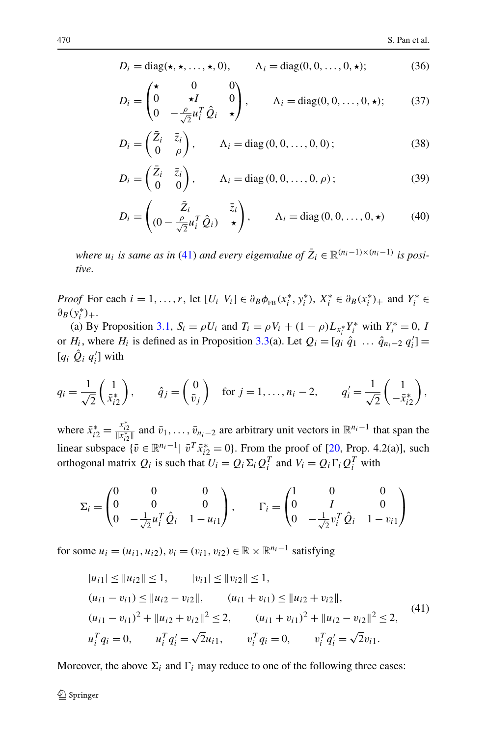<span id="page-13-4"></span><span id="page-13-2"></span><span id="page-13-1"></span>
$$
D_i = \text{diag}(\star, \star, \dots, \star, 0), \qquad \Lambda_i = \text{diag}(0, 0, \dots, 0, \star); \tag{36}
$$

<span id="page-13-3"></span>
$$
D_i = \begin{pmatrix} \star & 0 & 0 \\ 0 & \star I & 0 \\ 0 & -\frac{\rho}{\sqrt{2}} u_i^T \hat{Q}_i & \star \end{pmatrix}, \qquad \Lambda_i = \text{diag}(0, 0, \dots, 0, \star); \qquad (37)
$$

<span id="page-13-5"></span>
$$
D_i = \begin{pmatrix} \bar{Z}_i & \bar{z}_i \\ 0 & \rho \end{pmatrix}, \qquad \Lambda_i = \text{diag}(0, 0, \dots, 0, 0); \tag{38}
$$

$$
D_i = \begin{pmatrix} \bar{Z}_i & \bar{z}_i \\ 0 & 0 \end{pmatrix}, \qquad \Lambda_i = \text{diag}\left(0, 0, \dots, 0, \rho\right); \tag{39}
$$

$$
D_i = \begin{pmatrix} \bar{Z}_i & \bar{z}_i \\ (0 - \frac{\rho}{\sqrt{2}} u_i^T \hat{Q}_i) & \star \end{pmatrix}, \qquad \Lambda_i = \text{diag}(0, 0, \dots, 0, \star) \tag{40}
$$

*where*  $u_i$  *is same as in* ([41](#page-13-0)) *and every eigenvalue of*  $\overline{Z}_i \in \mathbb{R}^{(n_i-1)\times(n_i-1)}$  *is positive*.

*Proof* For each  $i = 1, ..., r$ , let  $[U_i \ V_i] \in \partial_B \phi_{FB}(x_i^*, y_i^*)$ ,  $X_i^* \in \partial_B (x_i^*)_+$  and  $Y_i^* \in$  $\partial_B(y_i^*)_+$ .

(a) By Proposition [3.1](#page-8-0),  $S_i = \rho U_i$  and  $T_i = \rho V_i + (1 - \rho)L_{x_i^*} Y_i^*$  with  $Y_i^* = 0$ , *I* or  $H_i$ , where  $H_i$  is defined as in Proposition [3.3\(](#page-12-0)a). Let  $Q_i = [q_i \hat{q}_1 \dots \hat{q}_{n_i-2} q'_i]$ [ $q_i$   $\hat{Q}_i$   $q'_i$ ] with

$$
q_i = \frac{1}{\sqrt{2}} \begin{pmatrix} 1 \\ \bar{x}_{i2}^* \end{pmatrix}, \qquad \hat{q}_j = \begin{pmatrix} 0 \\ \bar{v}_j \end{pmatrix} \quad \text{for } j = 1, \dots, n_i - 2, \qquad q'_i = \frac{1}{\sqrt{2}} \begin{pmatrix} 1 \\ -\bar{x}_{i2}^* \end{pmatrix},
$$

where  $\bar{x}_{i2}^* = \frac{x_{i2}^*}{|x_{i2}^*|}$  and  $\bar{v}_1, \ldots, \bar{v}_{n_i-2}$  are arbitrary unit vectors in  $\mathbb{R}^{n_i-1}$  that span the linear subspace  $\{\bar{v} \in \mathbb{R}^{n_i-1} | \ \bar{v}^T \bar{x}_{i2}^* = 0\}$ . From the proof of [[20,](#page-33-15) Prop. 4.2(a)], such orthogonal matrix  $Q_i$  is such that  $U_i = Q_i \Sigma_i Q_i^T$  and  $V_i = Q_i \Gamma_i Q_i^T$  with

$$
\Sigma_{i} = \begin{pmatrix} 0 & 0 & 0 \\ 0 & 0 & 0 \\ 0 & -\frac{1}{\sqrt{2}}u_{i}^{T}\hat{Q}_{i} & 1 - u_{i1} \end{pmatrix}, \qquad \Gamma_{i} = \begin{pmatrix} 1 & 0 & 0 \\ 0 & I & 0 \\ 0 & -\frac{1}{\sqrt{2}}v_{i}^{T}\hat{Q}_{i} & 1 - v_{i1} \end{pmatrix}
$$

<span id="page-13-0"></span>for some  $u_i = (u_{i1}, u_{i2}), v_i = (v_{i1}, v_{i2}) \in \mathbb{R} \times \mathbb{R}^{n_i-1}$  satisfying

$$
|u_{i1}| \le ||u_{i2}|| \le 1, \t |v_{i1}| \le ||v_{i2}|| \le 1,
$$
  
\n
$$
(u_{i1} - v_{i1}) \le ||u_{i2} - v_{i2}||, \t (u_{i1} + v_{i1}) \le ||u_{i2} + v_{i2}||,
$$
  
\n
$$
(u_{i1} - v_{i1})^2 + ||u_{i2} + v_{i2}||^2 \le 2, \t (u_{i1} + v_{i1})^2 + ||u_{i2} - v_{i2}||^2 \le 2,
$$
  
\n
$$
u_i^T q_i = 0, \t u_i^T q'_i = \sqrt{2}u_{i1}, \t v_i^T q_i = 0, \t v_i^T q'_i = \sqrt{2}v_{i1}.
$$
\n
$$
(41)
$$

Moreover, the above  $\Sigma_i$  and  $\Gamma_i$  may reduce to one of the following three cases: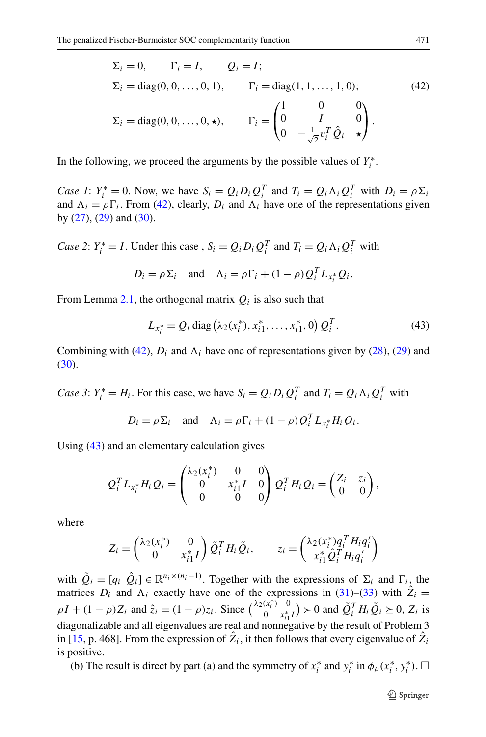<span id="page-14-0"></span>
$$
\Sigma_i = 0, \qquad \Gamma_i = I, \qquad Q_i = I;
$$
  
\n
$$
\Sigma_i = \text{diag}(0, 0, \dots, 0, 1), \qquad \Gamma_i = \text{diag}(1, 1, \dots, 1, 0);
$$
  
\n
$$
\Sigma_i = \text{diag}(0, 0, \dots, 0, \star), \qquad \Gamma_i = \begin{pmatrix} 1 & 0 & 0 \\ 0 & I & 0 \\ 0 & -\frac{1}{\sqrt{2}} v_i^T \hat{Q}_i & \star \end{pmatrix}.
$$
\n(42)

In the following, we proceed the arguments by the possible values of  $Y_i^*$ .

*Case 1*:  $Y_i^* = 0$ . Now, we have  $S_i = Q_i D_i Q_i^T$  and  $T_i = Q_i \Lambda_i Q_i^T$  with  $D_i = \rho \Sigma_i$ and  $\Lambda_i = \rho \Gamma_i$ . From ([42\)](#page-14-0), clearly,  $D_i$  and  $\Lambda_i$  have one of the representations given by ([27\)](#page-12-1), [\(29](#page-12-2)) and [\(30](#page-12-3)).

*Case 2*:  $Y_i^* = I$ . Under this case,  $S_i = Q_i D_i Q_i^T$  and  $T_i = Q_i \Lambda_i Q_i^T$  with

<span id="page-14-1"></span>
$$
D_i = \rho \Sigma_i \quad \text{and} \quad \Lambda_i = \rho \Gamma_i + (1 - \rho) Q_i^T L_{x_i^*} Q_i.
$$

From Lemma [2.1](#page-4-1), the orthogonal matrix  $Q_i$  is also such that

$$
L_{x_i^*} = Q_i \operatorname{diag} (\lambda_2(x_i^*), x_{i1}^*, \dots, x_{i1}^*, 0) Q_i^T.
$$
 (43)

Combining with ([42\)](#page-14-0),  $D_i$  and  $\Lambda_i$  have one of representations given by ([28\)](#page-12-4), [\(29](#page-12-2)) and [\(30](#page-12-3)).

*Case 3*:  $Y_i^* = H_i$ . For this case, we have  $S_i = Q_i D_i Q_i^T$  and  $T_i = Q_i \Lambda_i Q_i^T$  with

$$
D_i = \rho \Sigma_i \quad \text{and} \quad \Lambda_i = \rho \Gamma_i + (1 - \rho) Q_i^T L_{x_i^*} H_i Q_i.
$$

Using [\(43](#page-14-1)) and an elementary calculation gives

$$
Q_i^T L_{x_i^*} H_i Q_i = \begin{pmatrix} \lambda_2(x_i^*) & 0 & 0 \\ 0 & x_{i1}^* I & 0 \\ 0 & 0 & 0 \end{pmatrix} Q_i^T H_i Q_i = \begin{pmatrix} Z_i & z_i \\ 0 & 0 \end{pmatrix},
$$

where

$$
Z_i = \begin{pmatrix} \lambda_2(x_i^*) & 0 \\ 0 & x_{i1}^* I \end{pmatrix} \tilde{Q}_i^T H_i \tilde{Q}_i, \qquad z_i = \begin{pmatrix} \lambda_2(x_i^*)q_i^T H_i q_i' \\ x_{i1}^* \hat{Q}_i^T H_i q_i' \end{pmatrix}
$$

with  $\tilde{Q}_i = [q_i \ \hat{Q}_i] \in \mathbb{R}^{n_i \times (n_i - 1)}$ . Together with the expressions of  $\Sigma_i$  and  $\Gamma_i$ , the matrices  $D_i$  and  $\Lambda_i$  exactly have one of the expressions in ([31\)](#page-12-5)–[\(33](#page-12-6)) with  $\hat{Z}_i$  =  $\rho I + (1 - \rho)Z_i$  and  $\hat{z}_i = (1 - \rho)z_i$ . Since  $\begin{pmatrix} \lambda_2(x_i^*) & 0 \\ 0 & x_i^* \end{pmatrix}$  $\left(\frac{(x_i^2)}{2}\right)^{0}$  > 0 and  $\tilde{Q}_i^T H_i \tilde{Q}_i \ge 0$ ,  $Z_i$  is diagonalizable and all eigenvalues are real and nonnegative by the result of Problem 3 in [\[15](#page-33-20), p. 468]. From the expression of  $\hat{Z}_i$ , it then follows that every eigenvalue of  $\hat{Z}_i$ is positive.

(b) The result is direct by part (a) and the symmetry of  $x_i^*$  and  $y_i^*$  in  $\phi_\rho(x_i^*, y_i^*)$ .  $\Box$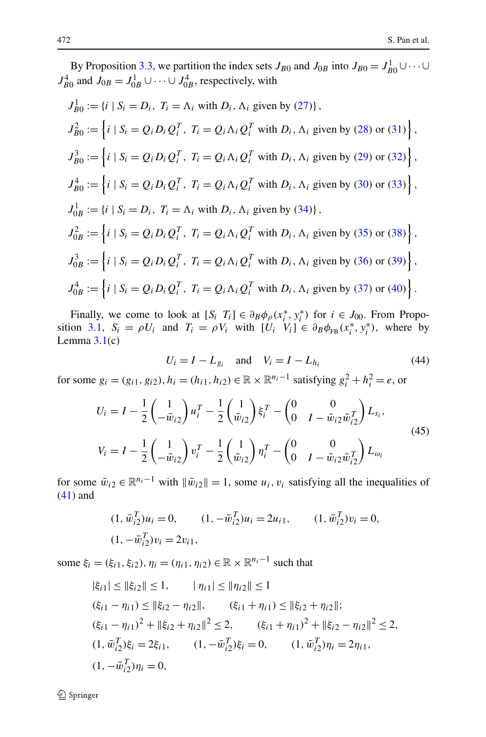By Proposition [3.3](#page-12-0), we partition the index sets  $J_{B0}$  and  $J_{0B}$  into  $J_{B0} = J_{B0}^1 \cup \cdots \cup$  $J_{B0}^4$  and  $J_{0B} = J_{0B}^1 \cup \cdots \cup J_{0B}^4$ , respectively, with

$$
J_{B0}^1 := \{i \mid S_i = D_i, T_i = \Lambda_i \text{ with } D_i, \Lambda_i \text{ given by (27)}\},
$$
  
\n
$$
J_{B0}^2 := \left\{i \mid S_i = Q_i D_i Q_i^T, T_i = Q_i \Lambda_i Q_i^T \text{ with } D_i, \Lambda_i \text{ given by (28) or (31)}\right\},
$$
  
\n
$$
J_{B0}^3 := \left\{i \mid S_i = Q_i D_i Q_i^T, T_i = Q_i \Lambda_i Q_i^T \text{ with } D_i, \Lambda_i \text{ given by (29) or (32)}\right\},
$$
  
\n
$$
J_{B0}^4 := \left\{i \mid S_i = Q_i D_i Q_i^T, T_i = Q_i \Lambda_i Q_i^T \text{ with } D_i, \Lambda_i \text{ given by (30) or (33)}\right\},
$$
  
\n
$$
J_{0B}^1 := \{i \mid S_i = D_i, T_i = \Lambda_i \text{ with } D_i, \Lambda_i \text{ given by (34)}\},
$$
  
\n
$$
J_{0B}^2 := \left\{i \mid S_i = Q_i D_i Q_i^T, T_i = Q_i \Lambda_i Q_i^T \text{ with } D_i, \Lambda_i \text{ given by (35) or (38)}\right\},
$$
  
\n
$$
J_{0B}^3 := \left\{i \mid S_i = Q_i D_i Q_i^T, T_i = Q_i \Lambda_i Q_i^T \text{ with } D_i, \Lambda_i \text{ given by (36) or (39)}\right\},
$$
  
\n
$$
J_{0B}^4 := \left\{i \mid S_i = Q_i D_i Q_i^T, T_i = Q_i \Lambda_i Q_i^T \text{ with } D_i, \Lambda_i \text{ given by (37) or (40)}\right\}.
$$

<span id="page-15-1"></span>Finally, we come to look at  $[S_i \ T_i] \in \partial_B \phi_\rho(x_i^*, y_i^*)$  for  $i \in J_{00}$ . From Propo-sition [3.1](#page-8-0),  $S_i = \rho U_i$  and  $T_i = \rho V_i$  with  $[U_i \quad V_i] \in \partial_B \phi_{FB}(x_i^*, y_i^*)$ , where by Lemma  $3.1(c)$  $3.1(c)$ 

<span id="page-15-0"></span>
$$
U_i = I - L_{g_i} \quad \text{and} \quad V_i = I - L_{h_i} \tag{44}
$$

for some  $g_i = (g_{i1}, g_{i2}), h_i = (h_{i1}, h_{i2}) \in \mathbb{R} \times \mathbb{R}^{n_i - 1}$  satisfying  $g_i^2 + h_i^2 = e$ , or

$$
U_{i} = I - \frac{1}{2} \begin{pmatrix} 1 \\ -\bar{w}_{i2} \end{pmatrix} u_{i}^{T} - \frac{1}{2} \begin{pmatrix} 1 \\ \bar{w}_{i2} \end{pmatrix} \xi_{i}^{T} - \begin{pmatrix} 0 & 0 \\ 0 & I - \bar{w}_{i2} \bar{w}_{i2}^{T} \end{pmatrix} L_{s_{i}},
$$
  
\n
$$
V_{i} = I - \frac{1}{2} \begin{pmatrix} 1 \\ -\bar{w}_{i2} \end{pmatrix} v_{i}^{T} - \frac{1}{2} \begin{pmatrix} 1 \\ \bar{w}_{i2} \end{pmatrix} \eta_{i}^{T} - \begin{pmatrix} 0 & 0 \\ 0 & I - \bar{w}_{i2} \bar{w}_{i2}^{T} \end{pmatrix} L_{\omega_{i}}
$$
\n(45)

for some  $\bar{w}_{i2} \in \mathbb{R}^{n_i-1}$  with  $\|\bar{w}_{i2}\|=1$ , some  $u_i, v_i$  satisfying all the inequalities of [\(41](#page-13-0)) and

$$
(1, \bar{w}_{i2}^T)u_i = 0, \qquad (1, -\bar{w}_{i2}^T)u_i = 2u_{i1}, \qquad (1, \bar{w}_{i2}^T)v_i = 0,
$$
  

$$
(1, -\bar{w}_{i2}^T)v_i = 2v_{i1},
$$

some  $\xi_i = (\xi_{i1}, \xi_{i2}), \eta_i = (\eta_{i1}, \eta_{i2}) \in \mathbb{R} \times \mathbb{R}^{n_i-1}$  such that

$$
|\xi_{i1}| \le ||\xi_{i2}|| \le 1, \qquad |\eta_{i1}| \le ||\eta_{i2}|| \le 1
$$
  
\n
$$
(\xi_{i1} - \eta_{i1}) \le ||\xi_{i2} - \eta_{i2}||, \qquad (\xi_{i1} + \eta_{i1}) \le ||\xi_{i2} + \eta_{i2}||;
$$
  
\n
$$
(\xi_{i1} - \eta_{i1})^2 + ||\xi_{i2} + \eta_{i2}||^2 \le 2, \qquad (\xi_{i1} + \eta_{i1})^2 + ||\xi_{i2} - \eta_{i2}||^2 \le 2,
$$
  
\n
$$
(1, \bar{w}_{i2}^T)\xi_i = 2\xi_{i1}, \qquad (1, -\bar{w}_{i2}^T)\xi_i = 0, \qquad (1, \bar{w}_{i2}^T)\eta_i = 2\eta_{i1},
$$
  
\n
$$
(1, -\bar{w}_{i2}^T)\eta_i = 0,
$$

 $\mathcal{D}$  Springer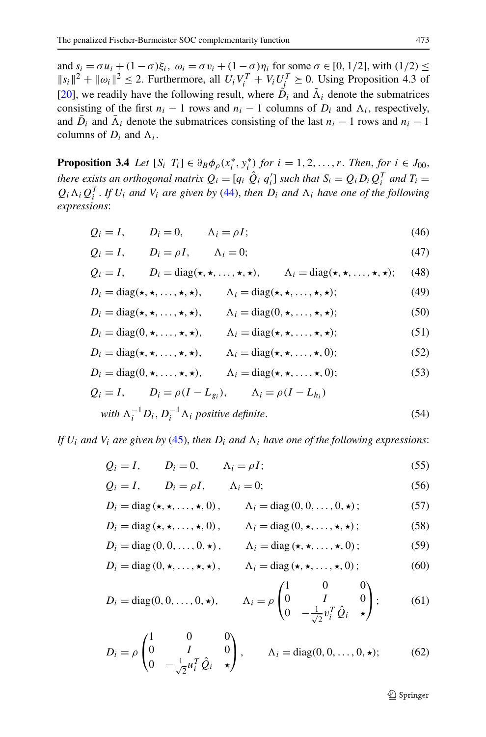<span id="page-16-0"></span>and  $s_i = \sigma u_i + (1 - \sigma)\xi_i$ ,  $\omega_i = \sigma v_i + (1 - \sigma)\eta_i$  for some  $\sigma \in [0, 1/2]$ , with  $(1/2) \le$  $||s_i||^2 + ||\omega_i||^2 \le 2$ . Furthermore, all  $U_i V_i^T + V_i U_j^T \ge 0$ . Using Proposition 4.3 of [\[20](#page-33-15)], we readily have the following result, where  $\tilde{D}_i$  and  $\tilde{\Lambda}_i$  denote the submatrices consisting of the first  $n_i - 1$  rows and  $n_i - 1$  columns of  $D_i$  and  $\Lambda_i$ , respectively, and  $\overline{D}_i$  and  $\overline{\Lambda}_i$  denote the submatrices consisting of the last  $n_i - 1$  rows and  $n_i - 1$ columns of  $D_i$  and  $\Lambda_i$ .

<span id="page-16-7"></span><span id="page-16-5"></span><span id="page-16-3"></span><span id="page-16-1"></span>**Proposition 3.4** *Let*  $[S_i \ T_i] \in \partial_B \phi_\rho(x_i^*, y_i^*)$  *for*  $i = 1, 2, ..., r$ . *Then, for*  $i \in J_{00}$ , *there exists an orthogonal matrix*  $Q_i = [q_i \ \hat{Q}_i \ q'_i]$  such that  $S_i = Q_i D_i Q_i^T$  and  $T_i =$  $Q_i \Lambda_i Q_i^T$ . *If*  $U_i$  *and*  $V_i$  *are given by* [\(44](#page-15-0)), *then*  $D_i$  *and*  $\Lambda_i$  *have one of the following expressions*:

$$
Q_i = I, \qquad D_i = 0, \qquad \Lambda_i = \rho I; \tag{46}
$$

<span id="page-16-8"></span>
$$
Q_i = I, \qquad D_i = \rho I, \qquad \Lambda_i = 0; \tag{47}
$$

<span id="page-16-9"></span>
$$
Q_i = I
$$
,  $D_i = \text{diag}(\star, \star, \ldots, \star, \star)$ ,  $\Lambda_i = \text{diag}(\star, \star, \ldots, \star, \star)$ ; (48)

<span id="page-16-6"></span>
$$
D_i = \text{diag}(\star, \star, \dots, \star, \star), \qquad \Lambda_i = \text{diag}(\star, \star, \dots, \star, \star); \tag{49}
$$

$$
D_i = \text{diag}(\star, \star, \dots, \star, \star), \qquad \Lambda_i = \text{diag}(0, \star, \dots, \star, \star); \tag{50}
$$

$$
D_i = \text{diag}(0, \star, \dots, \star, \star), \qquad \Lambda_i = \text{diag}(\star, \star, \dots, \star, \star); \tag{51}
$$

$$
D_i = \text{diag}(\star, \star, \dots, \star, \star), \qquad \Lambda_i = \text{diag}(\star, \star, \dots, \star, 0); \tag{52}
$$

<span id="page-16-2"></span>
$$
D_i = \text{diag}(0, \star, \dots, \star, \star), \qquad \Lambda_i = \text{diag}(\star, \star, \dots, \star, 0); \tag{53}
$$

$$
Q_i = I, \t D_i = \rho (I - L_{g_i}), \t \Lambda_i = \rho (I - L_{h_i})
$$
  
with  $\Lambda_i^{-1} D_i, D_i^{-1} \Lambda_i$  positive definite. (54)

<span id="page-16-14"></span><span id="page-16-13"></span><span id="page-16-12"></span><span id="page-16-11"></span><span id="page-16-10"></span><span id="page-16-4"></span>*If*  $U_i$  *and*  $V_i$  *are given by* ([45\)](#page-15-1), *then*  $D_i$  *and*  $\Lambda_i$  *have one of the following expressions:* 

$$
Q_i = I, \qquad D_i = 0, \qquad \Lambda_i = \rho I; \tag{55}
$$

$$
Q_i = I, \qquad D_i = \rho I, \qquad \Lambda_i = 0; \tag{56}
$$

$$
D_i = \text{diag}(\star, \star, \dots, \star, 0), \qquad \Lambda_i = \text{diag}(0, 0, \dots, 0, \star); \tag{57}
$$

$$
D_i = \text{diag}(\star, \star, \dots, \star, 0), \qquad \Lambda_i = \text{diag}(0, \star, \dots, \star, \star); \tag{58}
$$

$$
D_i = \text{diag}(0, 0, \dots, 0, \star), \qquad \Lambda_i = \text{diag}(\star, \star, \dots, \star, 0); \tag{59}
$$

$$
D_i = \text{diag}(0, \star, \dots, \star, \star), \qquad \Lambda_i = \text{diag}(\star, \star, \dots, \star, 0); \tag{60}
$$

$$
D_i = \text{diag}(0, 0, \dots, 0, \star), \qquad \Lambda_i = \rho \begin{pmatrix} 1 & 0 & 0 \\ 0 & I & 0 \\ 0 & -\frac{1}{\sqrt{2}} v_i^T \hat{Q}_i & \star \end{pmatrix}; \tag{61}
$$

$$
D_i = \rho \begin{pmatrix} 1 & 0 & 0 \\ 0 & I & 0 \\ 0 & -\frac{1}{\sqrt{2}} u_i^T \hat{Q}_i & \star \end{pmatrix}, \qquad \Lambda_i = \text{diag}(0, 0, \dots, 0, \star); \tag{62}
$$

 $\circledcirc$  Springer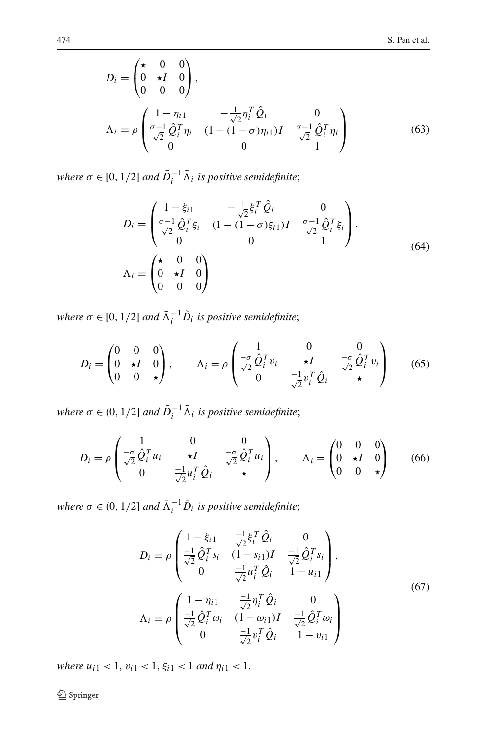$$
D_{i} = \begin{pmatrix} \star & 0 & 0 \\ 0 & \star I & 0 \\ 0 & 0 & 0 \end{pmatrix},
$$
  
\n
$$
\Lambda_{i} = \rho \begin{pmatrix} 1 - \eta_{i1} & -\frac{1}{\sqrt{2}} \eta_{i}^{T} \hat{Q}_{i} & 0 \\ \frac{\sigma - 1}{\sqrt{2}} \hat{Q}_{i}^{T} \eta_{i} & (1 - (1 - \sigma)\eta_{i1})I & \frac{\sigma - 1}{\sqrt{2}} \hat{Q}_{i}^{T} \eta_{i} \\ 0 & 0 & 1 \end{pmatrix}
$$
(63)

*where*  $\sigma \in [0, 1/2]$  *and*  $\tilde{D}_i^{-1} \tilde{\Lambda}_i$  *is positive semidefinite*;

$$
D_{i} = \begin{pmatrix} 1 - \xi_{i1} & -\frac{1}{\sqrt{2}} \xi_{i}^{T} \hat{Q}_{i} & 0\\ \frac{\sigma - 1}{\sqrt{2}} \hat{Q}_{i}^{T} \xi_{i} & (1 - (1 - \sigma)\xi_{i1})I & \frac{\sigma - 1}{\sqrt{2}} \hat{Q}_{i}^{T} \xi_{i}\\ 0 & 0 & 1 \end{pmatrix},
$$
  
\n
$$
\Lambda_{i} = \begin{pmatrix} \star & 0 & 0\\ 0 & \star I & 0\\ 0 & 0 & 0 \end{pmatrix}
$$
 (64)

*where*  $\sigma \in [0, 1/2]$  *and*  $\tilde{\Lambda}_i^{-1} \tilde{D}_i$  *is positive semidefinite*;

$$
D_i = \begin{pmatrix} 0 & 0 & 0 \\ 0 & \star I & 0 \\ 0 & 0 & \star \end{pmatrix}, \qquad \Lambda_i = \rho \begin{pmatrix} 1 & 0 & 0 \\ \frac{-\sigma}{\sqrt{2}} \hat{Q}_i^T v_i & \star I & \frac{-\sigma}{\sqrt{2}} \hat{Q}_i^T v_i \\ 0 & \frac{-1}{\sqrt{2}} v_i^T \hat{Q}_i & \star \end{pmatrix}
$$
(65)

*where*  $\sigma \in (0, 1/2]$  *and*  $\bar{D}_i^{-1} \bar{\Lambda}_i$  *is positive semidefinite*;

$$
D_i = \rho \begin{pmatrix} 1 & 0 & 0 \\ \frac{-\sigma}{\sqrt{2}} \hat{Q}_i^T u_i & \star I & \frac{-\sigma}{\sqrt{2}} \hat{Q}_i^T u_i \\ 0 & \frac{-1}{\sqrt{2}} u_i^T \hat{Q}_i & \star \end{pmatrix}, \qquad \Lambda_i = \begin{pmatrix} 0 & 0 & 0 \\ 0 & \star I & 0 \\ 0 & 0 & \star \end{pmatrix}
$$
(66)

<span id="page-17-0"></span>*where*  $\sigma \in (0, 1/2]$  *and*  $\overline{\Lambda}_i^{-1} \overline{D}_i$  *is positive semidefinite*;

$$
D_{i} = \rho \begin{pmatrix} 1 - \xi_{i1} & \frac{-1}{\sqrt{2}} \xi_{i}^{T} \hat{Q}_{i} & 0 \\ \frac{-1}{\sqrt{2}} \hat{Q}_{i}^{T} s_{i} & (1 - s_{i1})I & \frac{-1}{\sqrt{2}} \hat{Q}_{i}^{T} s_{i} \\ 0 & \frac{-1}{\sqrt{2}} u_{i}^{T} \hat{Q}_{i} & 1 - u_{i1} \end{pmatrix},
$$
  
\n
$$
\Lambda_{i} = \rho \begin{pmatrix} 1 - \eta_{i1} & \frac{-1}{\sqrt{2}} \eta_{i}^{T} \hat{Q}_{i} & 0 \\ \frac{-1}{\sqrt{2}} \hat{Q}_{i}^{T} \omega_{i} & (1 - \omega_{i1})I & \frac{-1}{\sqrt{2}} \hat{Q}_{i}^{T} \omega_{i} \\ 0 & \frac{-1}{\sqrt{2}} v_{i}^{T} \hat{Q}_{i} & 1 - v_{i1} \end{pmatrix}
$$
(67)

*where*  $u_{i1} < 1$ ,  $v_{i1} < 1$ ,  $\xi_{i1} < 1$  *and*  $\eta_{i1} < 1$ .

<sup>2</sup> Springer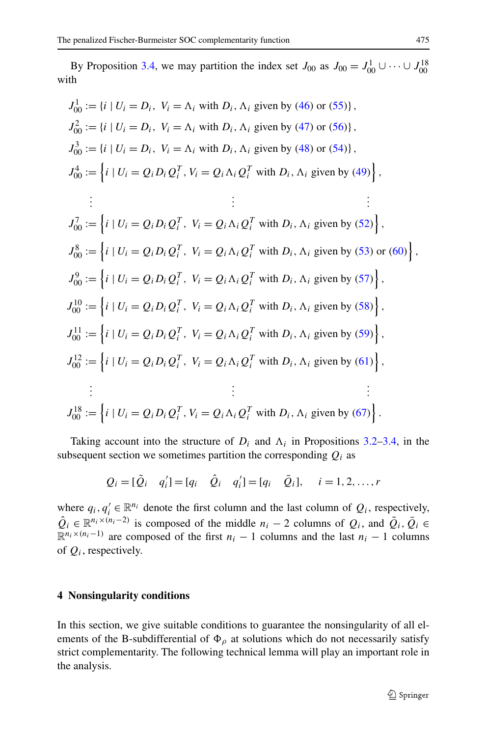By Proposition [3.4](#page-16-0), we may partition the index set  $J_{00}$  as  $J_{00} = J_{00}^1 \cup \cdots \cup J_{00}^{18}$ with

$$
J_{00}^{1} := \{i \mid U_{i} = D_{i}, V_{i} = \Lambda_{i} \text{ with } D_{i}, \Lambda_{i} \text{ given by (46) or (55)}\},
$$
  
\n
$$
J_{00}^{2} := \{i \mid U_{i} = D_{i}, V_{i} = \Lambda_{i} \text{ with } D_{i}, \Lambda_{i} \text{ given by (47) or (56)}\},
$$
  
\n
$$
J_{00}^{3} := \{i \mid U_{i} = D_{i}, V_{i} = \Lambda_{i} \text{ with } D_{i}, \Lambda_{i} \text{ given by (48) or (54)}\},
$$
  
\n
$$
J_{00}^{4} := \{i \mid U_{i} = Q_{i} D_{i} Q_{i}^{T}, V_{i} = Q_{i} \Lambda_{i} Q_{i}^{T} \text{ with } D_{i}, \Lambda_{i} \text{ given by (49)}\},
$$
  
\n
$$
\vdots
$$
  
\n
$$
J_{00}^{7} := \{i \mid U_{i} = Q_{i} D_{i} Q_{i}^{T}, V_{i} = Q_{i} \Lambda_{i} Q_{i}^{T} \text{ with } D_{i}, \Lambda_{i} \text{ given by (52)}\},
$$
  
\n
$$
J_{00}^{8} := \{i \mid U_{i} = Q_{i} D_{i} Q_{i}^{T}, V_{i} = Q_{i} \Lambda_{i} Q_{i}^{T} \text{ with } D_{i}, \Lambda_{i} \text{ given by (53) or (60)}\},
$$
  
\n
$$
J_{00}^{9} := \{i \mid U_{i} = Q_{i} D_{i} Q_{i}^{T}, V_{i} = Q_{i} \Lambda_{i} Q_{i}^{T} \text{ with } D_{i}, \Lambda_{i} \text{ given by (57)}\},
$$
  
\n
$$
J_{00}^{10} := \{i \mid U_{i} = Q_{i} D_{i} Q_{i}^{T}, V_{i} = Q_{i} \Lambda_{i} Q_{i}^{T} \text{ with } D_{i}, \Lambda_{i} \text{ given by (58)}\},
$$
  
\n
$$
J_{00}^{11} := \{i \mid U_{i} = Q_{i} D_{i} Q_{i}^{T}, V_{i} = Q_{i} \Lambda_{i} Q_{i}^{
$$

Taking account into the structure of  $D_i$  and  $\Lambda_i$  in Propositions [3.2](#page-9-4)[–3.4,](#page-16-0) in the subsequent section we sometimes partition the corresponding  $Q_i$  as

$$
Q_i = [\tilde{Q}_i \quad q'_i] = [q_i \quad \hat{Q}_i \quad q'_i] = [q_i \quad \bar{Q}_i], \quad i = 1, 2, ..., r
$$

where  $q_i, q'_i \in \mathbb{R}^{n_i}$  denote the first column and the last column of  $Q_i$ , respectively,  $\hat{Q}_i \in \mathbb{R}^{n_i \times (n_i-2)}$  is composed of the middle  $n_i - 2$  columns of  $Q_i$ , and  $\tilde{Q}_i, \tilde{Q}_i \in$  $\mathbb{R}^{n_i \times (n_i-1)}$  are composed of the first  $n_i - 1$  columns and the last  $n_i - 1$  columns of *Qi*, respectively.

### **4 Nonsingularity conditions**

In this section, we give suitable conditions to guarantee the nonsingularity of all elements of the B-subdifferential of  $\Phi_{\rho}$  at solutions which do not necessarily satisfy strict complementarity. The following technical lemma will play an important role in the analysis.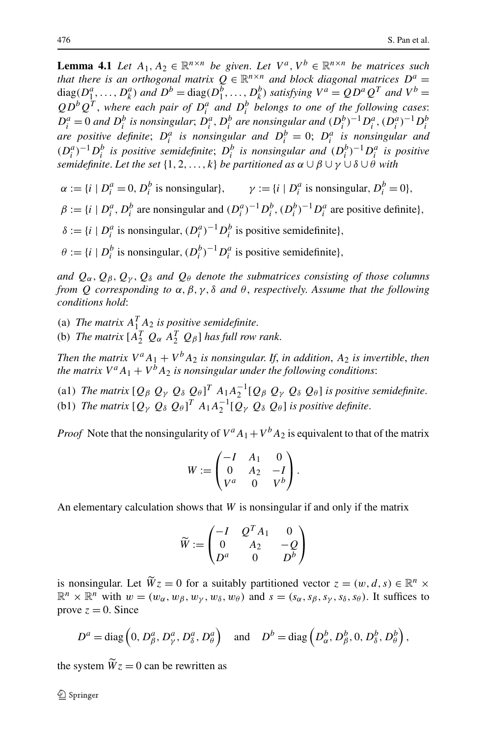<span id="page-19-0"></span>**Lemma 4.1** *Let*  $A_1, A_2 \in \mathbb{R}^{n \times n}$  *be given. Let*  $V^a, V^b \in \mathbb{R}^{n \times n}$  *be matrices such that there is an orthogonal matrix*  $Q \in \mathbb{R}^{n \times n}$  *and block diagonal matrices*  $D^a =$ diag( $D_1^a, \ldots, D_k^a$ ) and  $D^b = \text{diag}(D_1^b, \ldots, D_k^b)$  satisfying  $V^a = Q D^a Q^T$  and  $V^b =$  $QD^{b}Q^{T}$ , where each pair of  $D^{a}_{i}$  and  $D^{b}_{i}$  belongs to one of the following cases:  $D_i^a = 0$  and  $D_i^b$  is nonsingular;  $D_i^a$ ,  $D_i^b$  are nonsingular and  $(D_i^b)^{-1} D_i^a$ ,  $(D_i^a)^{-1} D_i^b$ *are positive definite*;  $D_i^a$  *is nonsingular and*  $D_i^b = 0$ ;  $D_i^a$  *is nonsingular and*  $(D_i^a)^{-1}D_i^b$  is positive semidefinite;  $D_i^b$  is nonsingular and  $(D_i^b)^{-1}D_i^a$  is positive *semidefinite. Let the set*  $\{1, 2, ..., k\}$  *be partitioned as*  $\alpha \cup \beta \cup \gamma \cup \delta \cup \overset{\circ}{\theta}$  *with* 

 $\alpha := \{i \mid D_i^a = 0, D_i^b \text{ is nonsingular}\}, \qquad \gamma := \{i \mid D_i^a \text{ is nonsingular}, D_i^b = 0\},$ 

 $\beta := \{i \mid D_i^a, D_i^b \text{ are nonsingular and } (D_i^a)^{-1} D_i^b, (D_i^b)^{-1} D_i^a \text{ are positive definite}\},\$ 

 $\delta := \{i \mid D_i^a \text{ is nonsingular}, (D_i^a)^{-1} D_i^b \text{ is positive semidefinite}\},\$ 

 $\theta := \{i \mid D_i^b$  is nonsingular,  $(D_i^b)^{-1} D_i^a$  is positive semidefinite}*,* 

*and*  $Q_{\alpha}, Q_{\beta}, Q_{\gamma}, Q_{\delta}$  *and*  $Q_{\theta}$  *denote the submatrices consisting of those columns from Q corresponding to α,β,γ,δ and θ* , *respectively*. *Assume that the following conditions hold*:

- (a) *The matrix*  $A_1^T A_2$  *is positive semidefinite.*
- (b) *The matrix*  $[A_2^T Q_\alpha A_2^T Q_\beta]$  *has full row rank.*

*Then the matrix*  $V^a A_1 + V^b A_2$  *is nonsingular. If, in addition,*  $A_2$  *is invertible, then the matrix*  $V^a A_1 + V^b A_2$  *is nonsingular under the following conditions:* 

(a1) *The matrix*  $[Q_\beta Q_\gamma Q_\delta Q_\theta]^T A_1 A_2^{-1} [Q_\beta Q_\gamma Q_\delta Q_\theta]$  is positive semidefinite. (b1) *The matrix*  $[Q_\gamma \ Q_\delta \ Q_\theta]^T A_1 A_2^{-1} [Q_\gamma \ Q_\delta \ Q_\theta]$  *is positive definite.* 

*Proof* Note that the nonsingularity of  $V^a A_1 + V^b A_2$  is equivalent to that of the matrix

$$
W := \begin{pmatrix} -I & A_1 & 0 \\ 0 & A_2 & -I \\ V^a & 0 & V^b \end{pmatrix}.
$$

An elementary calculation shows that *W* is nonsingular if and only if the matrix

$$
\widetilde{W}:=\begin{pmatrix} -I&\mathcal{Q}^T A_1&0\\ 0&A_2&- \mathcal{Q}\\ D^a&0&D^b \end{pmatrix}
$$

is nonsingular. Let  $\widetilde{W}_z = 0$  for a suitably partitioned vector  $z = (w, d, s) \in \mathbb{R}^n \times$  $\mathbb{R}^n \times \mathbb{R}^n$  with  $w = (w_\alpha, w_\beta, w_\gamma, w_\delta, w_\theta)$  and  $s = (s_\alpha, s_\beta, s_\gamma, s_\delta, s_\theta)$ . It suffices to prove  $z = 0$ . Since

$$
D^a = \text{diag}\left(0, D^a_\beta, D^a_\gamma, D^a_\delta, D^a_\theta\right) \quad \text{and} \quad D^b = \text{diag}\left(D^b_\alpha, D^b_\beta, 0, D^b_\delta, D^b_\theta\right),
$$

the system  $\tilde{W}_z = 0$  can be rewritten as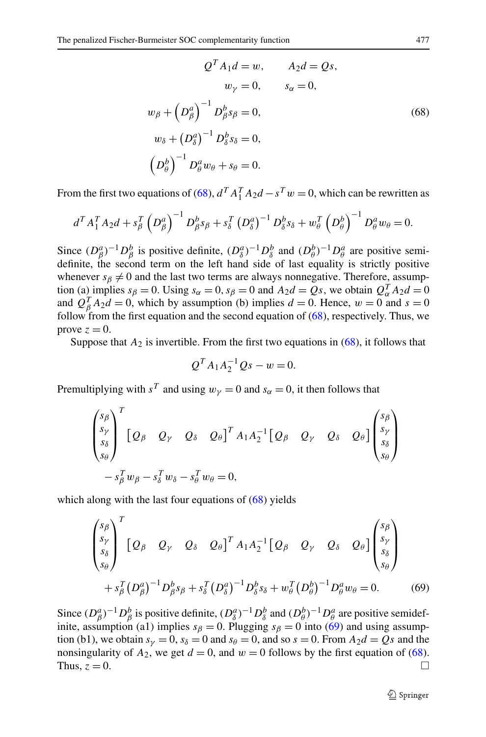<span id="page-20-0"></span>
$$
QT A1d = w, \t A2d = Qs,\t w\gamma = 0, \t s\alpha = 0,\t w\beta + (D\betaa)-1 D\betab s\beta = 0,\t w\delta + (D\deltaa)-1 D\deltab s\delta = 0,\t (68)\t
$$
(D\thetab)-1 D\thetaa w\theta + s\theta = 0.
$$
$$

From the first two equations of [\(68](#page-20-0)),  $d^T A_1^T A_2 d - s^T w = 0$ , which can be rewritten as

$$
d^T A_1^T A_2 d + s_\beta^T \left(D_\beta^a\right)^{-1} D_\beta^b s_\beta + s_\delta^T \left(D_\delta^a\right)^{-1} D_\delta^b s_\delta + w_\theta^T \left(D_\theta^b\right)^{-1} D_\theta^a w_\theta = 0.
$$

Since  $(D^a_\beta)^{-1}D^b_\beta$  is positive definite,  $(D^a_\delta)^{-1}D^b_\delta$  and  $(D^b_\theta)^{-1}D^a_\theta$  are positive semidefinite, the second term on the left hand side of last equality is strictly positive whenever  $s<sub>\beta</sub> \neq 0$  and the last two terms are always nonnegative. Therefore, assumption (a) implies  $s_{\beta} = 0$ . Using  $s_{\alpha} = 0$ ,  $s_{\beta} = 0$  and  $A_2d = Qs$ , we obtain  $Q_{\alpha}^T A_2d = 0$ and  $Q_{\beta}^{T} A_2 d = 0$ , which by assumption (b) implies  $d = 0$ . Hence,  $w = 0$  and  $s = 0$ follow from the first equation and the second equation of  $(68)$  $(68)$ , respectively. Thus, we prove  $z = 0$ .

Suppose that  $A_2$  is invertible. From the first two equations in  $(68)$  $(68)$ , it follows that

$$
Q^T A_1 A_2^{-1} Q s - w = 0.
$$

Premultiplying with  $s^T$  and using  $w_\nu = 0$  and  $s_\alpha = 0$ , it then follows that

$$
\begin{pmatrix}\ns_\beta \\
s_\gamma \\
s_\delta \\
s_\theta\n\end{pmatrix}^T \begin{bmatrix}\nQ_\beta & Q_\gamma & Q_\delta & Q_\theta\n\end{bmatrix}^T A_1 A_2^{-1} \begin{bmatrix}\nQ_\beta & Q_\gamma & Q_\delta & Q_\theta\n\end{bmatrix} \begin{pmatrix}\ns_\beta \\
s_\gamma \\
s_\delta \\
s_\theta\n\end{pmatrix} \\
-S_\beta^T w_\beta - s_\delta^T w_\delta - s_\theta^T w_\theta = 0,
$$

<span id="page-20-1"></span>which along with the last four equations of  $(68)$  $(68)$  yields

$$
\begin{pmatrix}\ns_\beta \\
s_\gamma \\
s_\delta \\
s_\theta\n\end{pmatrix}^T \begin{bmatrix}\nQ_\beta & Q_\gamma & Q_\delta & Q_\theta\n\end{bmatrix}^T A_1 A_2^{-1} \begin{bmatrix}\nQ_\beta & Q_\gamma & Q_\delta & Q_\theta\n\end{bmatrix} \begin{pmatrix}\ns_\beta \\
s_\gamma \\
s_\delta \\
s_\theta\n\end{pmatrix} + s_\beta^T (D_\beta^a)^{-1} D_\beta^b s_\beta + s_\delta^T (D_\delta^a)^{-1} D_\delta^b s_\delta + w_\theta^T (D_\theta^b)^{-1} D_\theta^a w_\theta = 0.
$$
\n(69)

Since  $(D^a_\beta)^{-1}D^b_\beta$  is positive definite,  $(D^a_\delta)^{-1}D^b_\delta$  and  $(D^b_\theta)^{-1}D^a_\theta$  are positive semidefinite, assumption (a1) implies  $s_\beta = 0$ . Plugging  $s_\beta = 0$  into [\(69](#page-20-1)) and using assumption (b1), we obtain  $s_y = 0$ ,  $s_\delta = 0$  and  $s_\theta = 0$ , and so  $s = 0$ . From  $A_2d = Qs$  and the nonsingularity of  $A_2$ , we get  $d = 0$ , and  $w = 0$  follows by the first equation of ([68\)](#page-20-0). Thus,  $z = 0$ .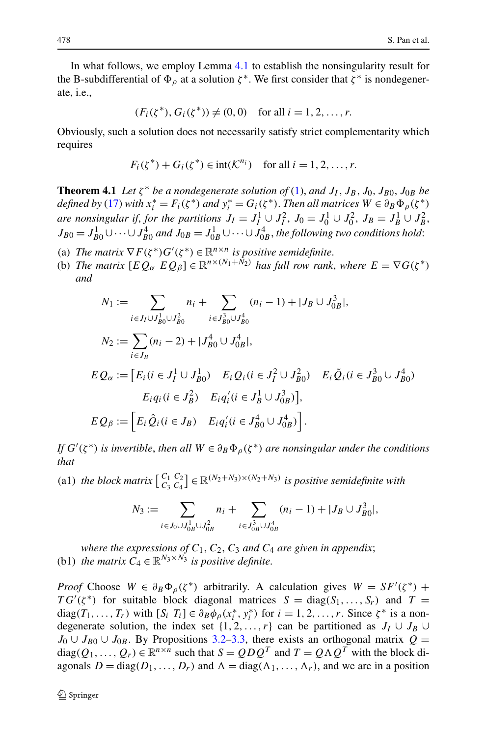<span id="page-21-0"></span>In what follows, we employ Lemma [4.1](#page-19-0) to establish the nonsingularity result for the B-subdifferential of  $\Phi_{\rho}$  at a solution  $\zeta^*$ . We first consider that  $\zeta^*$  is nondegenerate, i.e.,

$$
(F_i(\zeta^*), G_i(\zeta^*)) \neq (0, 0)
$$
 for all  $i = 1, 2, ..., r$ .

Obviously, such a solution does not necessarily satisfy strict complementarity which requires

$$
F_i(\zeta^*) + G_i(\zeta^*) \in \text{int}(\mathcal{K}^{n_i}) \quad \text{for all } i = 1, 2, \dots, r.
$$

**Theorem 4.1** *Let*  $\zeta^*$  *be a nondegenerate solution of* [\(1](#page-1-0)), *and*  $J_I$ ,  $J_B$ ,  $J_0$ ,  $J_{B0}$ ,  $J_{0B}$  *be defined by* [\(17](#page-9-9)) *with*  $x_i^* = F_i(\zeta^*)$  *and*  $y_i^* = G_i(\zeta^*)$ . *Then all matrices*  $W \in \partial_B \Phi_\rho(\zeta^*)$ *are nonsingular if, for the partitions*  $J_I = J_I^1 \cup J_I^2$ ,  $J_0 = J_0^1 \cup J_0^2$ ,  $J_B = J_B^1 \cup J_B^2$ ,  $J_{B0} = J_{B0}^1 \cup \cdots \cup J_{B0}^4$  and  $J_{0B} = J_{0B}^1 \cup \cdots \cup J_{0B}^4$ , the following two conditions hold:

- (a) *The matrix*  $\nabla F(\zeta^*) G'(\zeta^*) \in \mathbb{R}^{n \times n}$  *is positive semidefinite.*
- (b) The matrix  $[EQ_{\alpha} \ EQ_{\beta}] \in \mathbb{R}^{n \times (N_1 + N_2)}$  has full row rank, where  $E = \nabla G(\zeta^*)$ *and*

$$
N_1 := \sum_{i \in J_I \cup J_{B0}^1 \cup J_{B0}^2} n_i + \sum_{i \in J_{B0}^3 \cup J_{B0}^4} (n_i - 1) + |J_B \cup J_{0B}^3|,
$$
  
\n
$$
N_2 := \sum_{i \in J_B} (n_i - 2) + |J_{B0}^4 \cup J_{0B}^4|,
$$
  
\n
$$
EQ_{\alpha} := [E_i (i \in J_I^1 \cup J_{B0}^1) \quad E_i Q_i (i \in J_I^2 \cup J_{B0}^2) \quad E_i \tilde{Q}_i (i \in J_{B0}^3 \cup J_{B0}^4)]
$$
  
\n
$$
E_{\alpha} Q_{\beta} := [E_i \hat{Q}_i (i \in J_B^2) \quad E_i q_i' (i \in J_B^1 \cup J_{0B}^3)],
$$
  
\n
$$
EQ_{\beta} := [E_i \hat{Q}_i (i \in J_B) \quad E_i q_i' (i \in J_{B0}^4 \cup J_{0B}^4)].
$$

*If*  $G'(\zeta^*)$  *is invertible, then all*  $W \in \partial_B \Phi_\rho(\zeta^*)$  *are nonsingular under the conditions that*

(a1) *the block matrix*  $\begin{bmatrix} C_1 & C_2 \ C_3 & C_4 \end{bmatrix} \in \mathbb{R}^{(N_2+N_3)\times(N_2+N_3)}$  *is positive semidefinite with* 

$$
N_3 := \sum_{i \in J_0 \cup J_{0B}^1 \cup J_{0B}^2} n_i + \sum_{i \in J_{0B}^3 \cup J_{0B}^4} (n_i - 1) + |J_B \cup J_{B0}^3|,
$$

*where the expressions of*  $C_1$ ,  $C_2$ ,  $C_3$  *and*  $C_4$  *are given in appendix*; (b1) *the matrix*  $C_4 \in \mathbb{R}^{N_3 \times N_3}$  *is positive definite.* 

*Proof* Choose  $W \in \partial_B \Phi_{\rho}(\zeta^*)$  arbitrarily. A calculation gives  $W = SF'(\zeta^*)$  +  $TG'(\zeta^*)$  for suitable block diagonal matrices  $S = diag(S_1, ..., S_r)$  and  $T =$ diag( $T_1, \ldots, T_r$ ) with  $[S_i \ T_i] \in \partial_B \phi_p(x_i^*, y_i^*)$  for  $i = 1, 2, \ldots, r$ . Since  $\zeta^*$  is a nondegenerate solution, the index set  $\{1, 2, ..., r\}$  can be partitioned as  $J_I \cup J_B \cup$ *J*<sub>0</sub> ∪ *J*<sub>B0</sub> ∪ *J*<sub>0</sub>*B*. By Propositions [3.2](#page-9-4)[–3.3,](#page-12-0) there exists an orthogonal matrix  $Q =$ diag( $Q_1, \ldots, Q_r$ )  $\in \mathbb{R}^{n \times n}$  such that  $S = QDQ^T$  and  $T = Q \Lambda Q^T$  with the block diagonals  $D = diag(D_1, ..., D_r)$  and  $\Lambda = diag(\Lambda_1, ..., \Lambda_r)$ , and we are in a position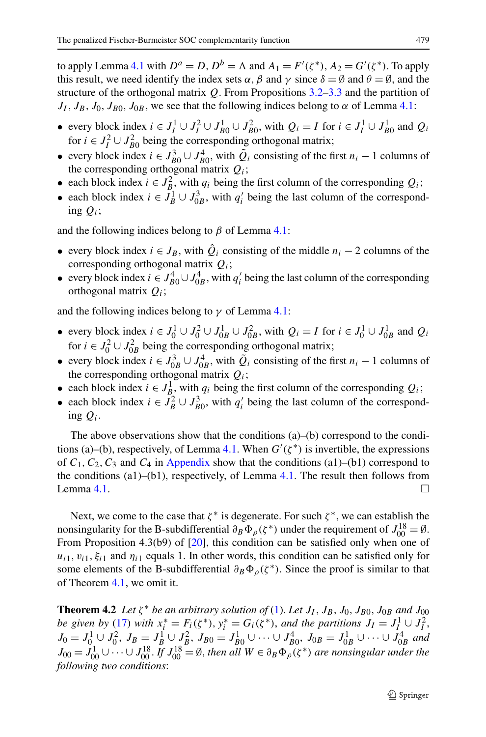to apply Lemma [4.1](#page-19-0) with  $D^a = D$ ,  $D^b = \Lambda$  and  $A_1 = F'(\zeta^*)$ ,  $A_2 = G'(\zeta^*)$ . To apply this result, we need identify the index sets  $\alpha$ ,  $\beta$  and  $\gamma$  since  $\delta = \emptyset$  and  $\theta = \emptyset$ , and the structure of the orthogonal matrix *Q*. From Propositions [3.2](#page-9-4)[–3.3](#page-12-0) and the partition of  $J_I$ ,  $J_B$ ,  $J_0$ ,  $J_{B0}$ ,  $J_{0B}$ , we see that the following indices belong to  $\alpha$  of Lemma [4.1](#page-19-0):

- $\bullet$  every block index *i* ∈ *J*<sub>1</sub><sup>1</sup> ∪ *J*<sub>1</sub><sup>2</sup> ∪ *J*<sub>1</sub><sup>2</sup><sub>0</sub>0</sub>, with *Q<sub>i</sub>* = *I* for *i* ∈ *J*<sub>1</sub><sup>1</sup> ∪ *J*<sub>1</sub><sup>1</sup><sub>0</sub> and *Q<sub>i</sub>* for  $i \in J_I^2 \cup J_{B0}^2$  being the corresponding orthogonal matrix;
- every block index  $i \in J_{B0}^3 \cup J_{B0}^4$ , with  $\tilde{Q}_i$  consisting of the first  $n_i 1$  columns of the corresponding orthogonal matrix *Qi*;
- each block index  $i \in J_B^2$ , with  $q_i$  being the first column of the corresponding  $Q_i$ ;
- each block index  $i \in J_B^1 \cup J_{0B}^3$ , with  $q'_i$  being the last column of the corresponding *Qi*;

and the following indices belong to  $\beta$  of Lemma [4.1](#page-19-0):

- every block index  $i \in J_B$ , with  $\hat{Q}_i$  consisting of the middle  $n_i 2$  columns of the corresponding orthogonal matrix *Qi*;
- every block index  $i \in J_{B0}^4 \cup J_{0B}^4$ , with  $q'_i$  being the last column of the corresponding orthogonal matrix *Qi*;

and the following indices belong to  $\nu$  of Lemma [4.1](#page-19-0):

- $\bullet$  every block index *i* ∈ *J*<sub>0</sub><sup>1</sup></sub> ∪ *J*<sub>0</sub><sup>2</sup><sub>0</sub> ∪ *J*<sub>0</sub><sup>2</sup><sub>0</sub>B</sub>, with  $Q_i = I$  for *i* ∈ *J*<sub>0</sub><sup>1</sup><sub>0</sub> ∪ *J*<sub>0</sub><sup>1</sup><sub>*B*</sub> and  $Q_i$ for  $i \in J_0^2 \cup J_{0B}^2$  being the corresponding orthogonal matrix;
- every block index  $i \in J_{0B}^3 \cup J_{0B}^4$ , with  $\tilde{Q}_i$  consisting of the first  $n_i 1$  columns of the corresponding orthogonal matrix *Qi*;
- each block index  $i \in J_B^1$ , with  $q_i$  being the first column of the corresponding  $Q_i$ ;
- each block index  $i \in J_B^2 \cup J_{B0}^3$ , with  $q'_i$  being the last column of the corresponding *Qi*.

The above observations show that the conditions  $(a)$ –(b) correspond to the condi-tions (a)–(b), respectively, of Lemma [4.1](#page-19-0). When  $G'(\zeta^*)$  is invertible, the expressions of  $C_1, C_2, C_3$  and  $C_4$  in [Appendix](#page-29-0) show that the conditions (a1)–(b1) correspond to the conditions  $(a1)$ – $(b1)$ , respectively, of Lemma [4.1.](#page-19-0) The result then follows from Lemma [4.1](#page-19-0).  $\Box$ 

<span id="page-22-0"></span>Next, we come to the case that  $\zeta^*$  is degenerate. For such  $\zeta^*$ , we can establish the nonsingularity for the B-subdifferential  $\partial_B \Phi_\rho(\zeta^*)$  under the requirement of  $J_{00}^{18} = \emptyset$ . From Proposition 4.3(b9) of [\[20](#page-33-15)], this condition can be satisfied only when one of  $u_{i1}, v_{i1}, \xi_{i1}$  and  $\eta_{i1}$  equals 1. In other words, this condition can be satisfied only for some elements of the B-subdifferential  $\partial_B \Phi_{\rho}(\zeta^*)$ . Since the proof is similar to that of Theorem [4.1,](#page-21-0) we omit it.

**Theorem 4.2** *Let*  $\zeta^*$  *be an arbitrary solution of* ([1\)](#page-1-0). Let  $J_I$ ,  $J_B$ ,  $J_0$ ,  $J_{B0}$ ,  $J_{0B}$  *and*  $J_{00}$ *be given by* [\(17](#page-9-9)) *with*  $x_i^* = F_i(\zeta^*), y_i^* = G_i(\zeta^*)$ , and the partitions  $J_I = J_I^1 \cup J_I^2$ ,  $J_0 = J_0^1 \cup J_0^2$ ,  $J_B = J_B^1 \cup J_B^2$ ,  $J_{B0} = J_{B0}^1 \cup \cdots \cup J_{B0}^4$ ,  $J_{0B} = J_{0B}^1 \cup \cdots \cup J_{0B}^4$  and  $J_{00} = J_{00}^1 \cup \cdots \cup J_{00}^{18}$ . If  $J_{00}^{18} = \emptyset$ , then all  $W \in \partial_B \Phi_\rho(\zeta^*)$  are nonsingular under the *following two conditions*: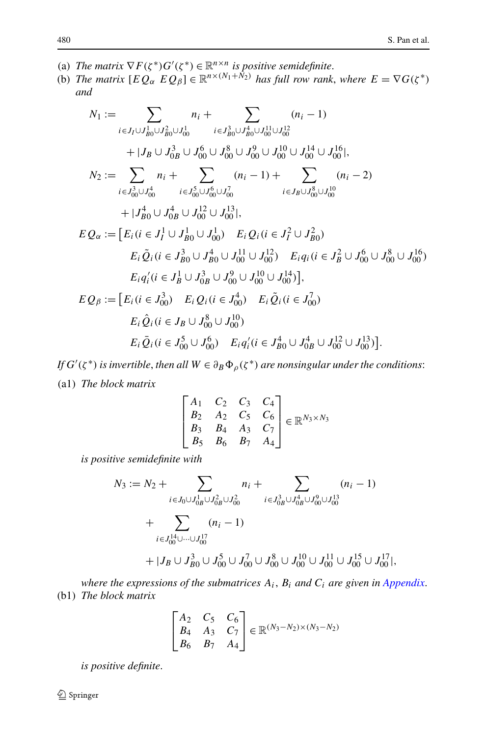- (a) *The matrix*  $\nabla F(\zeta^*) G'(\zeta^*) \in \mathbb{R}^{n \times n}$  *is positive semidefinite.*
- (b) *The matrix*  $[EQ_{\alpha} EQ_{\beta}] \in \mathbb{R}^{n \times (N_1 + N_2)}$  *has full row rank, where*  $E = \nabla G(\zeta^*)$ *and*

$$
N_{1} := \sum_{i \in J_{I} \cup J_{B0}^{1} \cup J_{B0}^{2} \cup J_{00}^{1}} n_{i} + \sum_{i \in J_{B0}^{3} \cup J_{B0}^{4} \cup J_{00}^{11} \cup J_{00}^{12}} (n_{i} - 1)
$$
  
+ |J\_{B} \cup J\_{0B}^{3} \cup J\_{00}^{6} \cup J\_{00}^{8} \cup J\_{00}^{10} \cup J\_{00}^{10} \cup J\_{00}^{14} \cup J\_{00}^{16}|,  

$$
N_{2} := \sum_{i \in J_{00}^{3} \cup J_{00}^{4}} n_{i} + \sum_{i \in J_{00}^{5} \cup J_{00}^{6} \cup J_{00}^{7}} (n_{i} - 1) + \sum_{i \in J_{B} \cup J_{00}^{8} \cup J_{00}^{10}} (n_{i} - 2)
$$
  
+ |J\_{B0}^{4} \cup J\_{0B}^{4} \cup J\_{00}^{12} \cup J\_{00}^{13}|,  

$$
EQ_{\alpha} := [E_{i} (i \in J_{I}^{1} \cup J_{B0}^{1} \cup J_{00}^{1}) E_{i} Q_{i} (i \in J_{I}^{2} \cup J_{B0}^{2})
$$
  

$$
E_{i} \tilde{Q}_{i} (i \in J_{B0}^{3} \cup J_{B0}^{4} \cup J_{00}^{11} \cup J_{00}^{12}) E_{i} q_{i} (i \in J_{B}^{2} \cup J_{00}^{6} \cup J_{00}^{8} \cup J_{00}^{16})
$$
  

$$
E_{i} q_{i}' (i \in J_{B}^{1} \cup J_{0B}^{3} \cup J_{00}^{0} \cup J_{00}^{10} \cup J_{00}^{14})],
$$
  

$$
EQ_{\beta} := [E_{i} (i \in J_{00}^{3}) E_{i} Q_{i} (i \in J_{00}^{4}) E_{i} \tilde{Q}_{i} (i \in J_{00}^{7})
$$
  

$$
E_{i} \tilde{Q}_{i} (i \in J_{B} \cup J_{00}^{8} \cup J_{00}^{10})
$$
  
<

*If*  $G'(\zeta^*)$  *is invertible, then all*  $W \in \partial_B \Phi_\rho(\zeta^*)$  *are nonsingular under the conditions*: (a1) *The block matrix*

$$
\begin{bmatrix} A_1 & C_2 & C_3 & C_4 \\ B_2 & A_2 & C_5 & C_6 \\ B_3 & B_4 & A_3 & C_7 \\ B_5 & B_6 & B_7 & A_4 \end{bmatrix} \in \mathbb{R}^{N_3 \times N_3}
$$

*is positive semidefinite with*

$$
N_3 := N_2 + \sum_{i \in J_0 \cup J_{0B}^1 \cup J_{0B}^2 \cup J_{00}^2} n_i + \sum_{i \in J_{0B}^3 \cup J_{0B}^4 \cup J_{00}^9 \cup J_{00}^{13}} (n_i - 1)
$$
  
+ 
$$
\sum_{i \in J_{00}^{14} \cup \dots \cup J_{00}^{17}} (n_i - 1)
$$
  
+ 
$$
|J_B \cup J_{B0}^3 \cup J_{00}^5 \cup J_{00}^7 \cup J_{00}^8 \cup J_{00}^{10} \cup J_{00}^{11} \cup J_{00}^{15} \cup J_{00}^{17}|,
$$

*where the expressions of the submatrices Ai*, *Bi and Ci are given in [Appendix](#page-29-0)*. (b1) *The block matrix*

$$
\begin{bmatrix} A_2 & C_5 & C_6 \ B_4 & A_3 & C_7 \ B_6 & B_7 & A_4 \end{bmatrix} \in \mathbb{R}^{(N_3 - N_2) \times (N_3 - N_2)}
$$

*is positive definite*.

Springer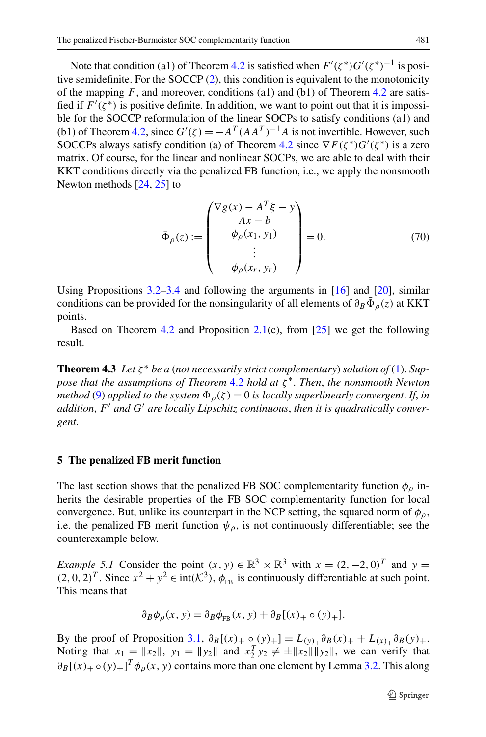Note that condition (a1) of Theorem [4.2](#page-22-0) is satisfied when  $F'(\zeta^*)G'(\zeta^*)^{-1}$  is positive semidefinite. For the SOCCP [\(2](#page-1-2)), this condition is equivalent to the monotonicity of the mapping  $F$ , and moreover, conditions (a1) and (b1) of Theorem [4.2](#page-22-0) are satisfied if  $F'(\zeta^*)$  is positive definite. In addition, we want to point out that it is impossible for the SOCCP reformulation of the linear SOCPs to satisfy conditions (a1) and (b1) of Theorem [4.2,](#page-22-0) since  $G'(\zeta) = -A^T (AA^T)^{-1}A$  is not invertible. However, such SOCCPs always satisfy condition (a) of Theorem [4.2](#page-22-0) since  $\nabla F(\zeta^*)G'(\zeta^*)$  is a zero matrix. Of course, for the linear and nonlinear SOCPs, we are able to deal with their KKT conditions directly via the penalized FB function, i.e., we apply the nonsmooth Newton methods [\[24](#page-34-3), [25](#page-34-4)] to

<span id="page-24-0"></span>
$$
\bar{\Phi}_{\rho}(z) := \begin{pmatrix} \nabla g(x) - A^T \xi - y \\ Ax - b \\ \phi_{\rho}(x_1, y_1) \\ \vdots \\ \phi_{\rho}(x_r, y_r) \end{pmatrix} = 0.
$$
 (70)

Using Propositions  $3.2-3.4$  $3.2-3.4$  and following the arguments in  $[16]$  $[16]$  and  $[20]$  $[20]$ , similar conditions can be provided for the nonsingularity of all elements of  $\partial_B \bar{\Phi}_\rho(z)$  at KKT points.

Based on Theorem [4.2](#page-22-0) and Proposition  $2.1(c)$  $2.1(c)$ , from [[25\]](#page-34-4) we get the following result.

**Theorem 4.3** *Let ζ* <sup>∗</sup> *be a* (*not necessarily strict complementary*) *solution of* [\(1](#page-1-0)). *Suppose that the assumptions of Theorem* [4.2](#page-22-0) *hold at ζ* <sup>∗</sup>. *Then*, *the nonsmooth Newton method* ([9\)](#page-2-3) *applied to the system*  $\Phi_o(\zeta) = 0$  *is locally superlinearly convergent. If, in addition*, *F and G are locally Lipschitz continuous*, *then it is quadratically convergent*.

## **5 The penalized FB merit function**

The last section shows that the penalized FB SOC complementarity function  $\phi$ <sub>o</sub> inherits the desirable properties of the FB SOC complementarity function for local convergence. But, unlike its counterpart in the NCP setting, the squared norm of  $\phi$ <sub>0</sub>, i.e. the penalized FB merit function  $\psi_{\rho}$ , is not continuously differentiable; see the counterexample below.

*Example 5.1* Consider the point  $(x, y) \in \mathbb{R}^3 \times \mathbb{R}^3$  with  $x = (2, -2, 0)^T$  and  $y =$  $(2, 0, 2)^T$ . Since  $x^2 + y^2 \in \text{int}(\mathcal{K}^3)$ ,  $\phi_{\text{FB}}$  is continuously differentiable at such point. This means that

$$
\partial_B \phi_\rho(x, y) = \partial_B \phi_{FB}(x, y) + \partial_B [(x)_+ \circ (y)_+].
$$

By the proof of Proposition [3.1](#page-8-0),  $\partial_B[(x)_+ \circ (y)_+] = L_{(y)_+} \partial_B(x)_+ + L_{(x)_+} \partial_B(y)_+$ . Noting that  $x_1 = ||x_2||$ ,  $y_1 = ||y_2||$  and  $x_2^T y_2 \neq \pm ||x_2|| ||y_2||$ , we can verify that  $\partial_B[(x)_+ \circ (y)_+]^T \phi_\rho(x, y)$  contains more than one element by Lemma [3.2.](#page-7-1) This along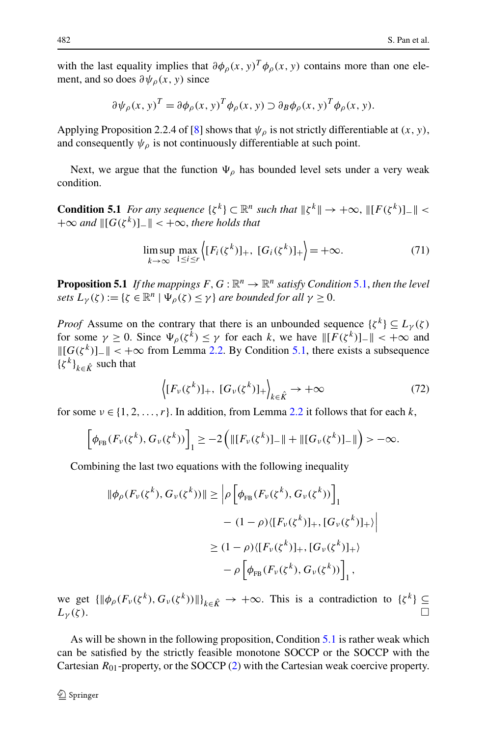with the last equality implies that  $\partial \phi_p(x, y)^T \phi_p(x, y)$  contains more than one element, and so does  $\partial \psi$ <sub>*ρ*</sub>(*x*, *y*) since

$$
\partial \psi_{\rho}(x, y)^{T} = \partial \phi_{\rho}(x, y)^{T} \phi_{\rho}(x, y) \supset \partial_{B} \phi_{\rho}(x, y)^{T} \phi_{\rho}(x, y).
$$

<span id="page-25-0"></span>Applying Proposition 2.2.4 of [\[8](#page-33-19)] shows that  $\psi_{\rho}$  is not strictly differentiable at  $(x, y)$ , and consequently  $\psi_{\rho}$  is not continuously differentiable at such point.

<span id="page-25-2"></span>Next, we argue that the function  $\Psi_{\rho}$  has bounded level sets under a very weak condition.

**Condition 5.1** *For any sequence*  $\{\zeta^k\} \subset \mathbb{R}^n$  *such that*  $\|\zeta^k\| \to +\infty$ ,  $\| [F(\zeta^k)]_{-} \|$  $+\infty$  and  $\| [G(\zeta^k)]_- \| < +\infty$ , there holds that

<span id="page-25-1"></span>
$$
\limsup_{k \to \infty} \max_{1 \le i \le r} \left\{ [F_i(\zeta^k)]_+, [G_i(\zeta^k)]_+ \right\} = +\infty. \tag{71}
$$

**Proposition [5.1](#page-25-0)** *If the mappings*  $F, G : \mathbb{R}^n \to \mathbb{R}^n$  *satisfy Condition* 5.1, *then the level sets*  $L_{\gamma}(\zeta) := {\zeta \in \mathbb{R}^n \mid \Psi_o(\zeta) \leq \gamma}$  *are bounded for all*  $\gamma \geq 0$ .

*Proof* Assume on the contrary that there is an unbounded sequence  $\{\zeta^k\} \subseteq L_\gamma(\zeta)$ for some  $\gamma \geq 0$ . Since  $\Psi_o(\zeta^{\overline{k}}) \leq \gamma$  for each *k*, we have  $\| [F(\zeta^k)] - \| < +\infty$  and  $\| [G(\zeta^k)]_-\| < +\infty$  from Lemma [2.2.](#page-4-0) By Condition [5.1](#page-25-0), there exists a subsequence  $\{\zeta^k\}_{k \in \hat{\mathcal{K}}}$  such that

$$
\left\langle [F_{\nu}(\zeta^k)]_+, [G_{\nu}(\zeta^k)]_+ \right\rangle_{k \in \hat{K}} \to +\infty \tag{72}
$$

for some  $v \in \{1, 2, \ldots, r\}$ . In addition, from Lemma [2.2](#page-4-0) it follows that for each k,

$$
\[ \phi_{FB}(F_{\nu}(\zeta^{k}), G_{\nu}(\zeta^{k})) \]_1 \geq -2 \Big( \| [F_{\nu}(\zeta^{k})]_{-} \| + \| [G_{\nu}(\zeta^{k})]_{-} \| \Big) > -\infty.
$$

Combining the last two equations with the following inequality

$$
\|\phi_{\rho}(F_{\nu}(\zeta^{k}), G_{\nu}(\zeta^{k}))\| \ge \left| \rho \left[ \phi_{FB}(F_{\nu}(\zeta^{k}), G_{\nu}(\zeta^{k})) \right]_{1} \right|
$$
  
-  $(1 - \rho) \langle [F_{\nu}(\zeta^{k})]_{+}, [G_{\nu}(\zeta^{k})]_{+} \rangle \Big|$   
 $\ge (1 - \rho) \langle [F_{\nu}(\zeta^{k})]_{+}, [G_{\nu}(\zeta^{k})]_{+} \rangle$   
-  $\rho \left[ \phi_{FB}(F_{\nu}(\zeta^{k}), G_{\nu}(\zeta^{k})) \right]_{1},$ 

we get  $\{\|\phi_{\rho}(F_{\nu}(\zeta^k), G_{\nu}(\zeta^k))\|\}_{k \in \hat{K}} \to +\infty$ . This is a contradiction to  $\{\zeta^k\} \subseteq L_{\nu}(\zeta)$ .  $L_{\gamma}(\zeta)$ .

As will be shown in the following proposition, Condition [5.1](#page-25-0) is rather weak which can be satisfied by the strictly feasible monotone SOCCP or the SOCCP with the Cartesian *R*01-property, or the SOCCP ([2\)](#page-1-2) with the Cartesian weak coercive property.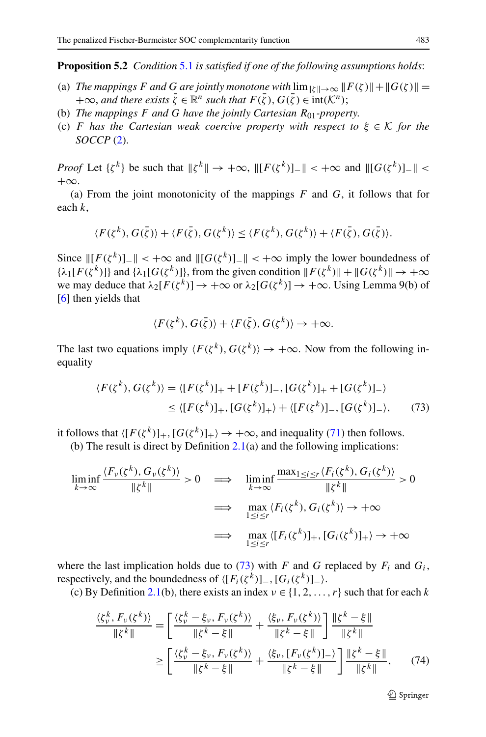<span id="page-26-2"></span>**Proposition 5.2** *Condition* [5.1](#page-25-0) *is satisfied if one of the following assumptions holds*:

- (a) *The mappings F* and *G* are jointly monotone with  $\lim_{\|\zeta\| \to \infty} \|F(\zeta)\| + \|G(\zeta)\|$  =  $+\infty$ , and there exists  $\bar{\zeta} \in \mathbb{R}^n$  such that  $F(\bar{\zeta})$ ,  $G(\bar{\zeta}) \in \text{int}(\mathcal{K}^n)$ ;
- (b) *The mappings F and G have the jointly Cartesian R*01*-property*.
- (c) *F has the Cartesian weak coercive property with respect to ξ* ∈ K *for the SOCCP* ([2\)](#page-1-2).

*Proof* Let  $\{ \zeta^k \}$  be such that  $\|\zeta^k\| \to +\infty$ ,  $\| [F(\zeta^k)]_-\| < +\infty$  and  $\| [G(\zeta^k)]_-\| <$  $+\infty$ .

(a) From the joint monotonicity of the mappings *F* and *G*, it follows that for each *k*,

$$
\langle F(\zeta^k), G(\bar{\zeta})\rangle + \langle F(\bar{\zeta}), G(\zeta^k)\rangle \le \langle F(\zeta^k), G(\zeta^k)\rangle + \langle F(\bar{\zeta}), G(\bar{\zeta})\rangle.
$$

<span id="page-26-0"></span>Since  $||[F(\zeta^k)]_−|| < +\infty$  and  $||[G(\zeta^k)]_−|| < +\infty$  imply the lower boundedness of  ${\lambda_1[F(\zeta^k)]}$  and  ${\lambda_1[G(\zeta^k)]}$ , from the given condition  $||F(\zeta^k)|| + ||G(\zeta^k)|| \to +\infty$ we may deduce that  $\lambda_2[F(\zeta^k)] \to +\infty$  or  $\lambda_2[G(\zeta^k)] \to +\infty$ . Using Lemma 9(b) of [\[6](#page-33-2)] then yields that

$$
\langle F(\zeta^k), G(\bar{\zeta})\rangle + \langle F(\bar{\zeta}), G(\zeta^k)\rangle \to +\infty.
$$

The last two equations imply  $\langle F(\zeta^k), G(\zeta^k) \rangle \to +\infty$ . Now from the following inequality

$$
\langle F(\zeta^k), G(\zeta^k) \rangle = \langle [F(\zeta^k)]_+ + [F(\zeta^k)]_-, [G(\zeta^k)]_+ + [G(\zeta^k)]_- \rangle
$$
  
 
$$
\leq \langle [F(\zeta^k)]_+, [G(\zeta^k)]_+ \rangle + \langle [F(\zeta^k)]_-, [G(\zeta^k)]_- \rangle, \qquad (73)
$$

it follows that  $\langle [F(\zeta^k)]_+, [G(\zeta^k)]_+ \rangle \rightarrow +\infty$ , and inequality ([71\)](#page-25-1) then follows.

(b) The result is direct by Definition [2.1\(](#page-5-1)a) and the following implications:

$$
\liminf_{k \to \infty} \frac{\langle F_{\nu}(\zeta^k), G_{\nu}(\zeta^k) \rangle}{\|\zeta^k\|} > 0 \implies \liminf_{k \to \infty} \frac{\max_{1 \le i \le r} \langle F_i(\zeta^k), G_i(\zeta^k) \rangle}{\|\zeta^k\|} > 0
$$
\n
$$
\implies \max_{1 \le i \le r} \langle F_i(\zeta^k), G_i(\zeta^k) \rangle \to +\infty
$$
\n
$$
\implies \max_{1 \le i \le r} \langle [F_i(\zeta^k)]_+, [G_i(\zeta^k)]_+ \rangle \to +\infty
$$

<span id="page-26-1"></span>where the last implication holds due to  $(73)$  $(73)$  with *F* and *G* replaced by  $F_i$  and  $G_i$ , respectively, and the boundedness of  $\langle [F_i(\zeta^k)]_-, [G_i(\zeta^k)]_-\rangle$ .

(c) By Definition [2.1\(](#page-5-1)b), there exists an index  $v \in \{1, 2, ..., r\}$  such that for each *k* 

$$
\frac{\langle \zeta_v^k, F_v(\zeta^k) \rangle}{\| \zeta^k \|} = \left[ \frac{\langle \zeta_v^k - \xi_v, F_v(\zeta^k) \rangle}{\| \zeta^k - \xi \|} + \frac{\langle \xi_v, F_v(\zeta^k) \rangle}{\| \zeta^k - \xi \|} \right] \frac{\| \zeta^k - \xi \|}{\| \zeta^k \|}
$$

$$
\geq \left[ \frac{\langle \zeta_v^k - \xi_v, F_v(\zeta^k) \rangle}{\| \zeta^k - \xi \|} + \frac{\langle \xi_v, [F_v(\zeta^k)]_- \rangle}{\| \zeta^k - \xi \|} \right] \frac{\| \zeta^k - \xi \|}{\| \zeta^k \|}, \tag{74}
$$

 $\circledcirc$  Springer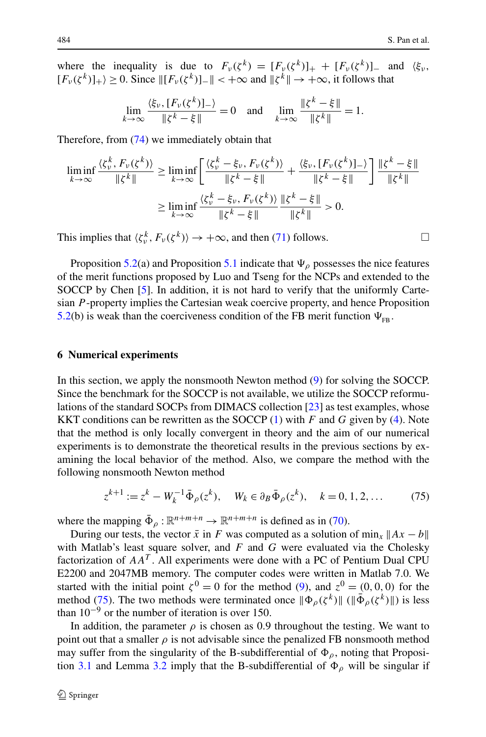where the inequality is due to  $F_v(\zeta^k) = [F_v(\zeta^k)]_+ + [F_v(\zeta^k)]_-$  and  $\langle \xi_v, \zeta_v \rangle$  $[F_{\nu}(\zeta^{k})]_{+}$   $\geq$  0. Since  $\|[F_{\nu}(\zeta^{k})]_{-}\|$  < + $\infty$  and  $\|\zeta^{k}\| \to +\infty$ , it follows that

$$
\lim_{k \to \infty} \frac{\langle \xi_v, [F_v(\zeta^k)]_- \rangle}{\|\zeta^k - \xi\|} = 0 \text{ and } \lim_{k \to \infty} \frac{\|\zeta^k - \xi\|}{\|\zeta^k\|} = 1.
$$

Therefore, from [\(74](#page-26-1)) we immediately obtain that

$$
\liminf_{k \to \infty} \frac{\langle \zeta_v^k, F_v(\zeta^k) \rangle}{\|\zeta^k\|} \ge \liminf_{k \to \infty} \left[ \frac{\langle \zeta_v^k - \xi_v, F_v(\zeta^k) \rangle}{\|\zeta^k - \xi\|} + \frac{\langle \xi_v, [F_v(\zeta^k)]_- \rangle}{\|\zeta^k - \xi\|} \right] \frac{\|\zeta^k - \xi\|}{\|\zeta^k\|}
$$
\n
$$
\ge \liminf_{k \to \infty} \frac{\langle \zeta_v^k - \xi_v, F_v(\zeta^k) \rangle}{\|\zeta^k - \xi\|} \frac{\|\zeta^k - \xi\|}{\|\zeta^k\|} > 0.
$$

This implies that  $\langle \zeta_v^k, F_v(\zeta^k) \rangle \to +\infty$ , and then [\(71](#page-25-1)) follows.

Proposition [5.2](#page-26-2)(a) and Proposition [5.1](#page-25-2) indicate that  $\Psi$ <sub> $\rho$ </sub> possesses the nice features of the merit functions proposed by Luo and Tseng for the NCPs and extended to the SOCCP by Chen [[5\]](#page-33-13). In addition, it is not hard to verify that the uniformly Cartesian *P* -property implies the Cartesian weak coercive property, and hence Proposition [5.2](#page-26-2)(b) is weak than the coerciveness condition of the FB merit function  $\Psi_{\text{FB}}$ .

#### **6 Numerical experiments**

In this section, we apply the nonsmooth Newton method ([9\)](#page-2-3) for solving the SOCCP. Since the benchmark for the SOCCP is not available, we utilize the SOCCP reformulations of the standard SOCPs from DIMACS collection [\[23](#page-34-6)] as test examples, whose KKT conditions can be rewritten as the SOCCP [\(1](#page-1-0)) with *F* and *G* given by ([4\)](#page-1-3). Note that the method is only locally convergent in theory and the aim of our numerical experiments is to demonstrate the theoretical results in the previous sections by examining the local behavior of the method. Also, we compare the method with the following nonsmooth Newton method

$$
z^{k+1} := z^k - W_k^{-1} \bar{\Phi}_{\rho}(z^k), \quad W_k \in \partial_B \bar{\Phi}_{\rho}(z^k), \quad k = 0, 1, 2, ... \tag{75}
$$

where the mapping  $\bar{\Phi}_{\rho} : \mathbb{R}^{n+m+n} \to \mathbb{R}^{n+m+n}$  is defined as in ([70\)](#page-24-0).

During our tests, the vector  $\bar{x}$  in *F* was computed as a solution of min<sub>x</sub>  $||Ax - b||$ with Matlab's least square solver, and *F* and *G* were evaluated via the Cholesky factorization of  $AA<sup>T</sup>$ . All experiments were done with a PC of Pentium Dual CPU E2200 and 2047MB memory. The computer codes were written in Matlab 7.0. We started with the initial point  $\zeta^0 = 0$  for the method ([9\)](#page-2-3), and  $z^0 = (0, 0, 0)$  for the method [\(75](#page-27-0)). The two methods were terminated once  $\|\Phi_{\rho}(\zeta^{k})\|$  ( $\|\bar{\Phi}_{\rho}(\zeta^{k})\|$ ) is less than  $10^{-9}$  or the number of iteration is over 150.

In addition, the parameter  $\rho$  is chosen as 0.9 throughout the testing. We want to point out that a smaller  $\rho$  is not advisable since the penalized FB nonsmooth method may suffer from the singularity of the B-subdifferential of  $\Phi_{\rho}$ , noting that Proposi-tion [3.1](#page-8-0) and Lemma [3.2](#page-7-1) imply that the B-subdifferential of  $\Phi_{\rho}$  will be singular if

<span id="page-27-0"></span>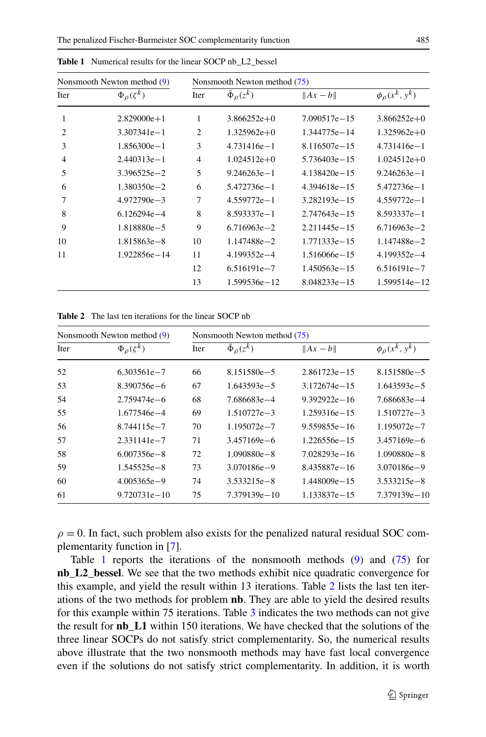| Nonsmooth Newton method (9) |                        | Nonsmooth Newton method (75) |                    |                  |                         |  |
|-----------------------------|------------------------|------------------------------|--------------------|------------------|-------------------------|--|
| Iter                        | $\Phi_{\rho}(\zeta^k)$ | Iter                         | $\Phi_{\rho}(z^k)$ | $  Ax-b  $       | $\phi_{\rho}(x^k, y^k)$ |  |
| 1                           | $2.829000e + 1$        | 1                            | $3.866252e+0$      | $7.090517e - 15$ | $3.866252e+0$           |  |
| $\overline{c}$              | $3.307341e - 1$        | $\overline{2}$               | $1.325962e+0$      | 1.344775e-14     | $1.325962e+0$           |  |
| 3                           | $1.856300e - 1$        | 3                            | $4.731416e - 1$    | $8.116507e - 15$ | $4.731416e - 1$         |  |
| $\overline{4}$              | $2.440313e-1$          | 4                            | $1.024512e+0$      | $5.736403e - 15$ | $1.024512e+0$           |  |
| 5                           | $3.396525e - 2$        | 5                            | $9.246263e - 1$    | $4.138420e - 15$ | $9.246263e - 1$         |  |
| 6                           | $1.380350e - 2$        | 6                            | 5.472736e-1        | $4.394618e - 15$ | 5.472736e-1             |  |
| 7                           | $4.972790e - 3$        | 7                            | $4.559772e - 1$    | $3.282193e - 15$ | $4.559772e - 1$         |  |
| 8                           | $6.126294e - 4$        | 8                            | $8.593337e - 1$    | $2.747643e - 15$ | $8.593337e - 1$         |  |
| 9                           | 1.818880e-5            | 9                            | $6.716963e - 2$    | $2.211445e - 15$ | $6.716963e - 2$         |  |
| 10                          | 1.815863e-8            | 10                           | 1.147488e-2        | 1.771333e-15     | 1.147488e-2             |  |
| 11                          | 1.922856e-14           | 11                           | $4.199352e - 4$    | 1.516066e-15     | $4.199352e - 4$         |  |
|                             |                        | 12                           | $6.516191e - 7$    | $1.450563e - 15$ | $6.516191e - 7$         |  |
|                             |                        | 13                           | $1.599536e - 12$   | $8.048233e - 15$ | $1.599514e - 12$        |  |

<span id="page-28-0"></span>**Table 1** Numerical results for the linear SOCP nb\_L2\_bessel

<span id="page-28-1"></span>**Table 2** The last ten iterations for the linear SOCP nb

| Nonsmooth Newton method (9) |                        | Nonsmooth Newton method (75) |                    |                  |                         |  |
|-----------------------------|------------------------|------------------------------|--------------------|------------------|-------------------------|--|
| <b>Iter</b>                 | $\Phi_{\rho}(\zeta^k)$ | Iter                         | $\Phi_{\rho}(z^k)$ | $  Ax-b  $       | $\phi_{\rho}(x^k, y^k)$ |  |
| 52                          | 6.303561e-7            | 66                           | 8.151580e - 5      | $2.861723e - 15$ | 8.151580e - 5           |  |
| 53                          | 8.390756e-6            | 67                           | $1.643593e - 5$    | $3.172674e - 15$ | $1.643593e - 5$         |  |
| 54                          | $2.759474e - 6$        | 68                           | 7.686683e-4        | $9.392922e - 16$ | 7.686683e-4             |  |
| 55                          | 1.677546e-4            | 69                           | $1.510727e - 3$    | 1.259316e-15     | $1.510727e - 3$         |  |
| 56                          | 8.744115e-7            | 70                           | 1.195072e-7        | 9.559855e-16     | $1.195072e - 7$         |  |
| 57                          | $2.331141e - 7$        | 71                           | 3.457169e-6        | 1.226556e-15     | $3.457169e - 6$         |  |
| 58                          | $6.007356e - 8$        | 72                           | $1.090880e - 8$    | 7.028293e-16     | $1.090880e - 8$         |  |
| 59                          | $1.545525e - 8$        | 73                           | 3.070186e-9        | 8.435887e-16     | $3.070186e - 9$         |  |
| 60                          | $4.005365e - 9$        | 74                           | 3.533215e-8        | 1.448009e - 15   | $3.533215e - 8$         |  |
| 61                          | $9.720731e - 10$       | 75                           | 7.379139e-10       | 1.133837e-15     | $7.379139e - 10$        |  |

 $\rho = 0$ . In fact, such problem also exists for the penalized natural residual SOC complementarity function in [[7\]](#page-33-7).

Table [1](#page-28-0) reports the iterations of the nonsmooth methods ([9\)](#page-2-3) and ([75\)](#page-27-0) for **nb\_L2\_bessel**. We see that the two methods exhibit nice quadratic convergence for this example, and yield the result within 13 iterations. Table [2](#page-28-1) lists the last ten iterations of the two methods for problem **nb**. They are able to yield the desired results for this example within 75 iterations. Table [3](#page-29-1) indicates the two methods can not give the result for **nb\_L1** within 150 iterations. We have checked that the solutions of the three linear SOCPs do not satisfy strict complementarity. So, the numerical results above illustrate that the two nonsmooth methods may have fast local convergence even if the solutions do not satisfy strict complementarity. In addition, it is worth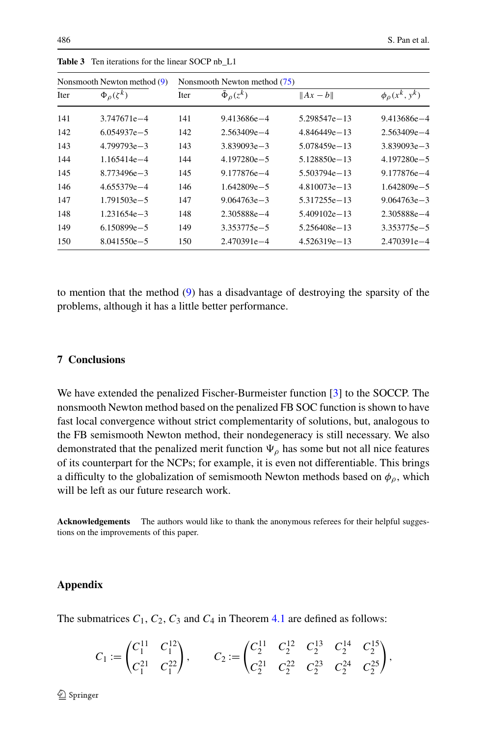| Nonsmooth Newton method $(9)$ |                        | Nonsmooth Newton method (75) |                          |                  |                         |  |
|-------------------------------|------------------------|------------------------------|--------------------------|------------------|-------------------------|--|
| <b>Iter</b>                   | $\Phi_{\rho}(\zeta^k)$ | Iter                         | $\bar{\Phi}_{\rho}(z^k)$ | $  Ax-b  $       | $\phi_{\rho}(x^k, y^k)$ |  |
| 141                           | $3.747671e - 4$        | 141                          | $9.413686e - 4$          | 5.298547e-13     | 9.413686e-4             |  |
| 142                           | $6.054937e - 5$        | 142                          | $2.563409e - 4$          | $4.846449e - 13$ | $2.563409e - 4$         |  |
| 143                           | $4.799793e - 3$        | 143                          | $3.839093e - 3$          | 5.078459e - 13   | $3.839093e - 3$         |  |
| 144                           | 1.165414e-4            | 144                          | $4.197280e - 5$          | 5.128850e - 13   | $4.197280e - 5$         |  |
| 145                           | $8.773496e - 3$        | 145                          | 9.177876e-4              | 5.503794e-13     | 9.177876e-4             |  |
| 146                           | $4.655379e - 4$        | 146                          | 1.642809e-5              | 4.810073e-13     | $1.642809e - 5$         |  |
| 147                           | $1.791503e - 5$        | 147                          | $9.064763e - 3$          | 5.317255e-13     | $9.064763e - 3$         |  |
| 148                           | $1.231654e - 3$        | 148                          | 2.305888e-4              | $5.409102e - 13$ | 2.305888e-4             |  |
| 149                           | $6.150899e - 5$        | 149                          | 3.353775e-5              | 5.256408e-13     | 3.353775e-5             |  |
| 150                           | $8.041550e - 5$        | 150                          | $2.470391e - 4$          | $4.526319e - 13$ | $2.470391e - 4$         |  |

<span id="page-29-1"></span>**Table 3** Ten iterations for the linear SOCP nb\_L1

to mention that the method [\(9](#page-2-3)) has a disadvantage of destroying the sparsity of the problems, although it has a little better performance.

# **7 Conclusions**

We have extended the penalized Fischer-Burmeister function [\[3](#page-33-14)] to the SOCCP. The nonsmooth Newton method based on the penalized FB SOC function is shown to have fast local convergence without strict complementarity of solutions, but, analogous to the FB semismooth Newton method, their nondegeneracy is still necessary. We also demonstrated that the penalized merit function  $\Psi_{\rho}$  has some but not all nice features of its counterpart for the NCPs; for example, it is even not differentiable. This brings a difficulty to the globalization of semismooth Newton methods based on  $\phi_{\rho}$ , which will be left as our future research work.

<span id="page-29-0"></span>**Acknowledgements** The authors would like to thank the anonymous referees for their helpful suggestions on the improvements of this paper.

# **Appendix**

The submatrices  $C_1$ ,  $C_2$ ,  $C_3$  and  $C_4$  in Theorem [4.1](#page-21-0) are defined as follows:

$$
C_1 := \begin{pmatrix} C_1^{11} & C_1^{12} \\ C_1^{21} & C_1^{22} \end{pmatrix}, \qquad C_2 := \begin{pmatrix} C_2^{11} & C_2^{12} & C_2^{13} & C_2^{14} & C_2^{15} \\ C_2^{21} & C_2^{22} & C_2^{23} & C_2^{24} & C_2^{25} \end{pmatrix},
$$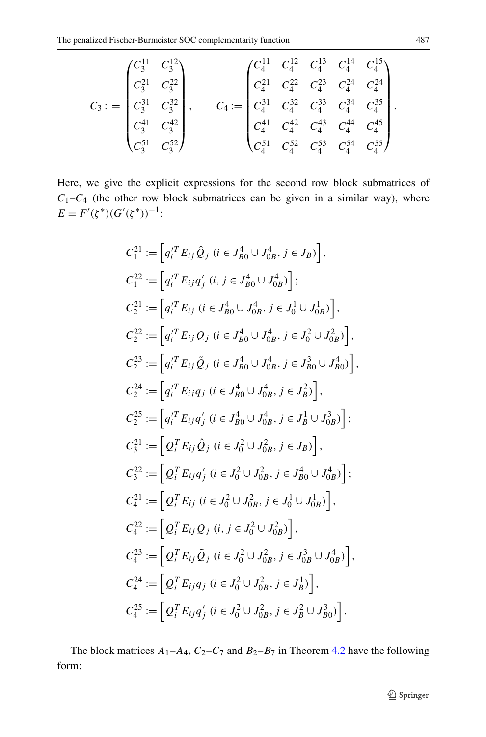$$
C_3: = \begin{pmatrix} C_3^{11} & C_3^{12} \\ C_3^{21} & C_3^{22} \\ C_3^{31} & C_3^{32} \\ C_3^{41} & C_3^{42} \\ C_3^{51} & C_3^{52} \end{pmatrix}, \qquad C_4: = \begin{pmatrix} C_4^{11} & C_4^{12} & C_4^{13} & C_4^{14} & C_4^{15} \\ C_4^{21} & C_4^{22} & C_4^{23} & C_4^{24} & C_4^{24} \\ C_4^{31} & C_4^{32} & C_4^{33} & C_4^{34} & C_4^{35} \\ C_4^{41} & C_4^{42} & C_4^{43} & C_4^{44} & C_4^{45} \\ C_4^{51} & C_4^{52} & C_4^{53} & C_4^{54} & C_4^{55} \end{pmatrix}.
$$

Here, we give the explicit expressions for the second row block submatrices of  $C_1-C_4$  (the other row block submatrices can be given in a similar way), where  $E = F'(\zeta^*)(G'(\zeta^*))^{-1}$ :

$$
C_1^{21} := [q_i^T E_{ij} \hat{Q}_j \ (i \in J_{B0}^4 \cup J_{0B}^4, j \in J_B)]
$$
\n
$$
C_1^{22} := [q_i^T E_{ij} q'_j \ (i, j \in J_{B0}^4 \cup J_{0B}^4)]
$$
\n
$$
C_2^{21} := [q_i^T E_{ij} \ (i \in J_{B0}^4 \cup J_{0B}^4, j \in J_0^1 \cup J_{0B}^1)]
$$
\n
$$
C_2^{22} := [q_i^T E_{ij} Q_j \ (i \in J_{B0}^4 \cup J_{0B}^4, j \in J_0^2 \cup J_{0B}^2)]
$$
\n
$$
C_2^{23} := [q_i^T E_{ij} \tilde{Q}_j \ (i \in J_{B0}^4 \cup J_{0B}^4, j \in J_0^2 \cup J_{B0}^2)]
$$
\n
$$
C_2^{24} := [q_i^T E_{ij} \tilde{Q}_j \ (i \in J_{B0}^4 \cup J_{0B}^4, j \in J_B^2)]
$$
\n
$$
C_2^{25} := [q_i^T E_{ij} q'_j \ (i \in J_{B0}^4 \cup J_{0B}^4, j \in J_B^2)]
$$
\n
$$
C_2^{27} := [q_i^T E_{ij} q'_j \ (i \in J_0^2 \cup J_{0B}^2, j \in J_B) ]
$$
\n
$$
C_3^{21} := [Q_i^T E_{ij} \hat{Q}_j \ (i \in J_0^2 \cup J_{0B}^2, j \in J_B)]
$$
\n
$$
C_3^{22} := [Q_i^T E_{ij} q'_j \ (i \in J_0^2 \cup J_{0B}^2, j \in J_{B0}^4 \cup J_{0B}^4)]
$$
\n
$$
C_4^{21} := [Q_i^T E_{ij} \tilde{Q}_j \ (i, j \in J_0^2 \cup J_{0B}^2)]
$$
\n
$$
C_4^{22} := [Q_i^T E_{ij} \tilde{Q}_j \ (i \in J_0^2 \cup J_{0B}^2, j \in J_{0B}^1 \cup J_{0B}^4)]
$$
\n

The block matrices  $A_1 - A_4$ ,  $C_2 - C_7$  and  $B_2 - B_7$  in Theorem [4.2](#page-22-0) have the following form: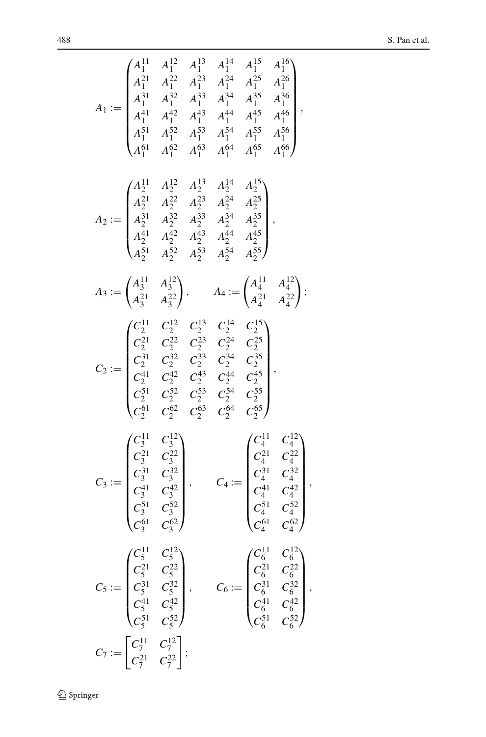$$
A_1 := \begin{pmatrix} A_1^{11} & A_1^{12} & A_1^{13} & A_1^{14} & A_1^{15} & A_1^{16} \\ A_1^{21} & A_1^{22} & A_1^{23} & A_1^{24} & A_1^{25} & A_1^{26} \\ A_1^{31} & A_1^{32} & A_1^{33} & A_1^{34} & A_1^{35} & A_1^{36} \\ A_1^{41} & A_1^{42} & A_1^{43} & A_1^{44} & A_1^{45} & A_1^{46} \\ A_1^{51} & A_1^{52} & A_1^{53} & A_1^{54} & A_1^{55} & A_1^{56} \\ A_1^{61} & A_1^{62} & A_1^{63} & A_1^{64} & A_1^{65} & A_1^{66} \end{pmatrix}
$$
  
\n
$$
A_2 := \begin{pmatrix} A_2^{11} & A_2^{12} & A_2^{13} & A_2^{14} & A_2^{15} \\ A_2^{21} & A_2^{22} & A_2^{23} & A_2^{24} & A_2^{25} \\ A_2^{21} & A_2^{22} & A_2^{23} & A_2^{24} & A_2^{25} \\ A_2^{21} & A_2^{22} & A_2^{23} & A_2^{24} & A_2^{25} \\ A_2^{21} & A_2^{22} & A_2^{23} & A_2^{24} & A_2^{25} \\ A_2^{21} & A_2^{22} & A_2^{23} & A_2^{24} & A_2^{25} \\ A_2^{21} & A_2^{22} & A_2^{23} & A_2^{24} & A_2^{25} \\ A_2^{21} & A_2^{22} & A_2^{23} & A_2^{24} & A_2^{25} \\ C_2^{21} & C_2^{22} & C_2^{23} & C_2^{24} & C_2^{25} \\ C_2^{21} & C_2^{22} & C_2^{23} & C_2^{24} & C_2^{25} \\ C_2^{21} & C_2^{22} & C_2^{23} & C_2^{24} & C_2
$$

 $\underline{\textcircled{\tiny 2}}$  Springer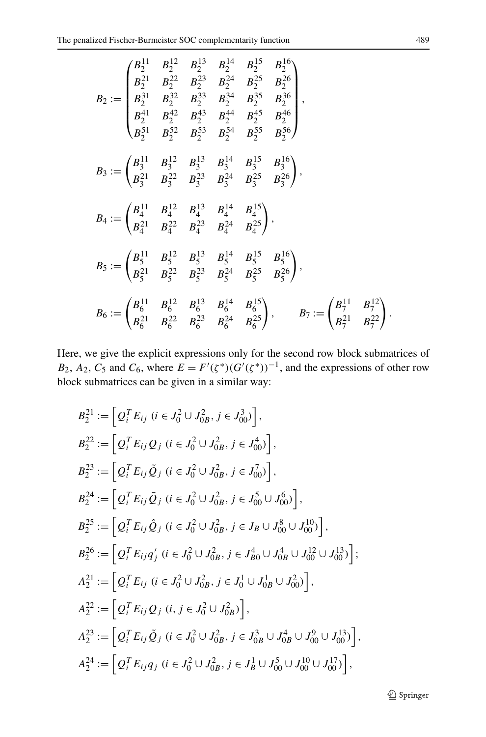$$
B_2 := \begin{pmatrix} B_2^{11} & B_2^{12} & B_2^{13} & B_2^{14} & B_2^{15} & B_2^{16} \\ B_2^{21} & B_2^{22} & B_2^{23} & B_2^{24} & B_2^{25} & B_2^{26} \\ B_2^{31} & B_2^{32} & B_2^{33} & B_2^{34} & B_2^{35} & B_2^{36} \\ B_2^{41} & B_2^{42} & B_2^{43} & B_2^{44} & B_2^{45} & B_2^{46} \\ B_2^{51} & B_2^{52} & B_2^{53} & B_2^{54} & B_2^{55} & B_2^{56} \end{pmatrix},
$$
  
\n
$$
B_3 := \begin{pmatrix} B_3^{11} & B_3^{12} & B_3^{13} & B_3^{14} & B_3^{15} & B_3^{16} \\ B_3^{21} & B_3^{22} & B_3^{23} & B_3^{24} & B_3^{25} & B_3^{26} \end{pmatrix},
$$
  
\n
$$
B_4 := \begin{pmatrix} B_4^{11} & B_4^{12} & B_4^{13} & B_4^{14} & B_4^{15} \\ B_4^{21} & B_4^{22} & B_4^{23} & B_4^{24} & B_4^{25} \end{pmatrix},
$$
  
\n
$$
B_5 := \begin{pmatrix} B_5^{11} & B_5^{12} & B_5^{13} & B_5^{14} & B_5^{15} & B_5^{16} \\ B_5^{21} & B_5^{22} & B_5^{23} & B_5^{24} & B_5^{25} & B_5^{26} \end{pmatrix},
$$
  
\n
$$
B_6 := \begin{pmatrix} B_6^{11} & B_6^{12} & B_6^{13} & B_6^{14} & B_6^{15} \\ B_6^{21} & B_6^{22} & B_6^{23} & B_6^{24} & B_6^{25} \end{pmatrix}, \qquad B_7 := \begin{pmatrix} B_7^{11} & B_7^{12} \\ B_7^{21} & B_7^{22}
$$

Here, we give the explicit expressions only for the second row block submatrices of *B*<sub>2</sub>, *A*<sub>2</sub>, *C*<sub>5</sub> and *C*<sub>6</sub>, where  $E = F'(\zeta^*)(G'(\zeta^*))^{-1}$ , and the expressions of other row block submatrices can be given in a similar way:

$$
B_2^{21} := [Q_i^T E_{ij} \ (i \in J_0^2 \cup J_{0B}^2, j \in J_{00}^3)],
$$
  
\n
$$
B_2^{22} := [Q_i^T E_{ij} Q_j \ (i \in J_0^2 \cup J_{0B}^2, j \in J_{00}^4)],
$$
  
\n
$$
B_2^{23} := [Q_i^T E_{ij} \tilde{Q}_j \ (i \in J_0^2 \cup J_{0B}^2, j \in J_{00}^7)],
$$
  
\n
$$
B_2^{24} := [Q_i^T E_{ij} \tilde{Q}_j \ (i \in J_0^2 \cup J_{0B}^2, j \in J_{00}^5 \cup J_{00}^6)],
$$
  
\n
$$
B_2^{25} := [Q_i^T E_{ij} \hat{Q}_j \ (i \in J_0^2 \cup J_{0B}^2, j \in J_B \cup J_{00}^8 \cup J_{00}^{10})],
$$
  
\n
$$
B_2^{26} := [Q_i^T E_{ij} q_j' \ (i \in J_0^2 \cup J_{0B}^2, j \in J_{B0}^4 \cup J_{0B}^4 \cup J_{00}^{12} \cup J_{00}^{13})];
$$
  
\n
$$
A_2^{21} := [Q_i^T E_{ij} \ (i \in J_0^2 \cup J_{0B}^2, j \in J_0^1 \cup J_{0B}^1 \cup J_{00}^2)],
$$
  
\n
$$
A_2^{22} := [Q_i^T E_{ij} Q_j \ (i, j \in J_0^2 \cup J_{0B}^2)],
$$
  
\n
$$
A_2^{23} := [Q_i^T E_{ij} \tilde{Q}_j \ (i \in J_0^2 \cup J_{0B}^2, j \in J_{0B}^3 \cup J_{0B}^4 \cup J_{00}^9 \cup J_{00}^{13})],
$$
  
\n
$$
A_2^{24} := [Q_i^T E_{ij} q_j \ (i \in J_0^2 \cup J_{0B}^2, j \in J_B^1 \cup J_{00}^5 \cup J_{00}^{10} \cup J_{00}^{17})],
$$

**◯** Springer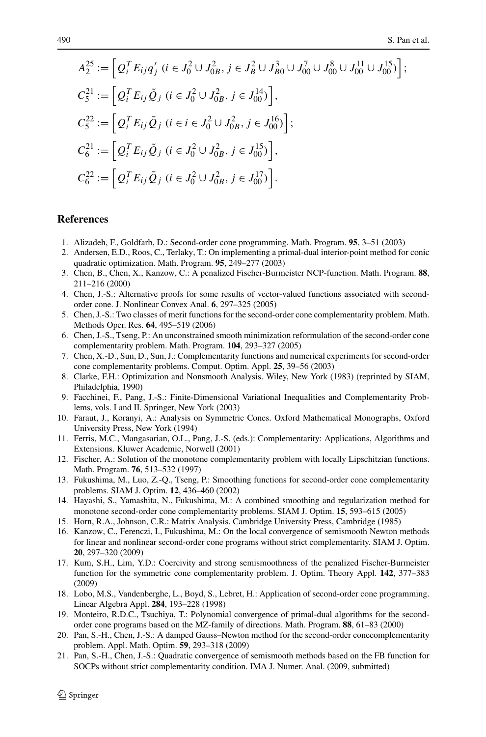$$
A_2^{25} := \left[ Q_i^T E_{ij} q'_j \ (i \in J_0^2 \cup J_{0B}^2, \ j \in J_B^2 \cup J_{B0}^3 \cup J_{00}^7 \cup J_{00}^8 \cup J_{00}^{11} \cup J_{00}^{15} ) \right];
$$
  
\n
$$
C_5^{21} := \left[ Q_i^T E_{ij} \tilde{Q}_j \ (i \in J_0^2 \cup J_{0B}^2, \ j \in J_{00}^{14} ) \right],
$$
  
\n
$$
C_5^{22} := \left[ Q_i^T E_{ij} \bar{Q}_j \ (i \in i \in J_0^2 \cup J_{0B}^2, \ j \in J_{00}^{16} ) \right];
$$
  
\n
$$
C_6^{21} := \left[ Q_i^T E_{ij} \tilde{Q}_j \ (i \in J_0^2 \cup J_{0B}^2, \ j \in J_{00}^{15} ) \right],
$$
  
\n
$$
C_6^{22} := \left[ Q_i^T E_{ij} \bar{Q}_j \ (i \in J_0^2 \cup J_{0B}^2, \ j \in J_{00}^{17} ) \right].
$$

#### <span id="page-33-14"></span><span id="page-33-13"></span><span id="page-33-11"></span><span id="page-33-5"></span><span id="page-33-3"></span><span id="page-33-2"></span>**References**

- 1. Alizadeh, F., Goldfarb, D.: Second-order cone programming. Math. Program. **95**, 3–51 (2003)
- <span id="page-33-7"></span>2. Andersen, E.D., Roos, C., Terlaky, T.: On implementing a primal-dual interior-point method for conic quadratic optimization. Math. Program. **95**, 249–277 (2003)
- <span id="page-33-19"></span>3. Chen, B., Chen, X., Kanzow, C.: A penalized Fischer-Burmeister NCP-function. Math. Program. **88**, 211–216 (2000)
- <span id="page-33-0"></span>4. Chen, J.-S.: Alternative proofs for some results of vector-valued functions associated with secondorder cone. J. Nonlinear Convex Anal. **6**, 297–325 (2005)
- <span id="page-33-16"></span>5. Chen, J.-S.: Two classes of merit functions for the second-order cone complementarity problem. Math. Methods Oper. Res. **64**, 495–519 (2006)
- <span id="page-33-1"></span>6. Chen, J.-S., Tseng, P.: An unconstrained smooth minimization reformulation of the second-order cone complementarity problem. Math. Program. **104**, 293–327 (2005)
- <span id="page-33-18"></span>7. Chen, X.-D., Sun, D., Sun, J.: Complementarity functions and numerical experiments for second-order cone complementarity problems. Comput. Optim. Appl. **25**, 39–56 (2003)
- <span id="page-33-8"></span>8. Clarke, F.H.: Optimization and Nonsmooth Analysis. Wiley, New York (1983) (reprinted by SIAM, Philadelphia, 1990)
- 9. Facchinei, F., Pang, J.-S.: Finite-Dimensional Variational Inequalities and Complementarity Problems, vols. I and II. Springer, New York (2003)
- <span id="page-33-20"></span><span id="page-33-9"></span>10. Faraut, J., Koranyi, A.: Analysis on Symmetric Cones. Oxford Mathematical Monographs, Oxford University Press, New York (1994)
- <span id="page-33-10"></span>11. Ferris, M.C., Mangasarian, O.L., Pang, J.-S. (eds.): Complementarity: Applications, Algorithms and Extensions. Kluwer Academic, Norwell (2001)
- <span id="page-33-17"></span>12. Fischer, A.: Solution of the monotone complementarity problem with locally Lipschitzian functions. Math. Program. **76**, 513–532 (1997)
- 13. Fukushima, M., Luo, Z.-Q., Tseng, P.: Smoothing functions for second-order cone complementarity problems. SIAM J. Optim. **12**, 436–460 (2002)
- <span id="page-33-4"></span>14. Hayashi, S., Yamashita, N., Fukushima, M.: A combined smoothing and regularization method for monotone second-order cone complementarity problems. SIAM J. Optim. **15**, 593–615 (2005)
- <span id="page-33-6"></span>15. Horn, R.A., Johnson, C.R.: Matrix Analysis. Cambridge University Press, Cambridge (1985)
- <span id="page-33-15"></span>16. Kanzow, C., Ferenczi, I., Fukushima, M.: On the local convergence of semismooth Newton methods for linear and nonlinear second-order cone programs without strict complementarity. SIAM J. Optim. **20**, 297–320 (2009)
- <span id="page-33-12"></span>17. Kum, S.H., Lim, Y.D.: Coercivity and strong semismoothness of the penalized Fischer-Burmeister function for the symmetric cone complementarity problem. J. Optim. Theory Appl. **142**, 377–383 (2009)
- 18. Lobo, M.S., Vandenberghe, L., Boyd, S., Lebret, H.: Application of second-order cone programming. Linear Algebra Appl. **284**, 193–228 (1998)
- 19. Monteiro, R.D.C., Tsuchiya, T.: Polynomial convergence of primal-dual algorithms for the secondorder cone programs based on the MZ-family of directions. Math. Program. **88**, 61–83 (2000)
- 20. Pan, S.-H., Chen, J.-S.: A damped Gauss–Newton method for the second-order conecomplementarity problem. Appl. Math. Optim. **59**, 293–318 (2009)
- 21. Pan, S.-H., Chen, J.-S.: Quadratic convergence of semismooth methods based on the FB function for SOCPs without strict complementarity condition. IMA J. Numer. Anal. (2009, submitted)